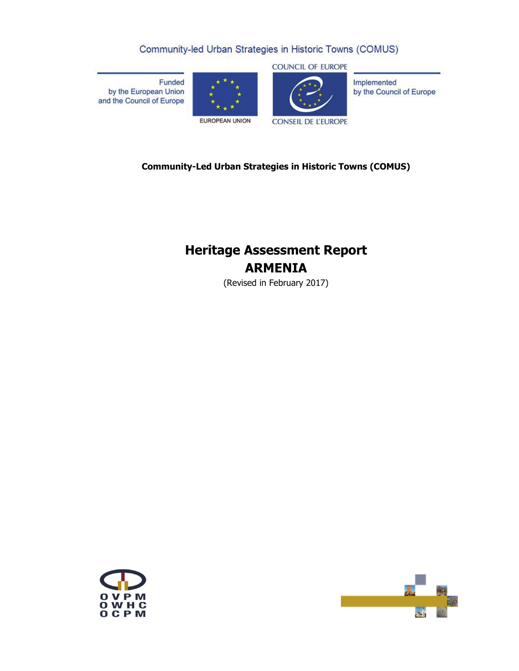# Community-led Urban Strategies in Historic Towns (COMUS)

Funded by the European Union and the Council of Europe





**CONSEIL DE L'EUROPE** 

Implemented by the Council of Europe

# **Community-Led Urban Strategies in Historic Towns (COMUS)**

# **Heritage Assessment Report ARMENIA**

(Revised in February 2017)



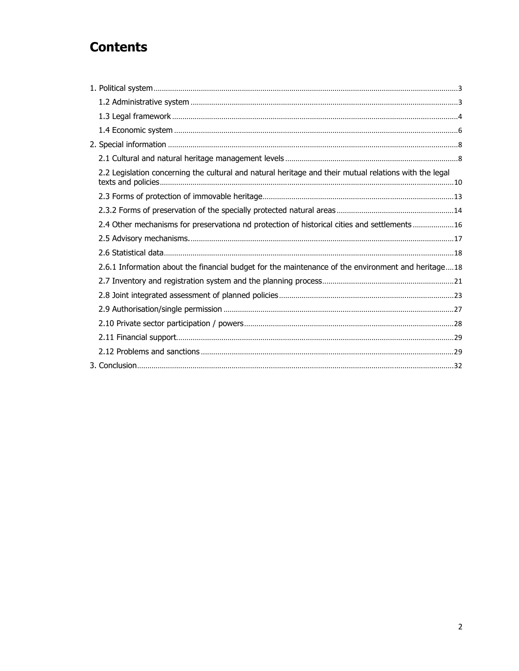# **Contents**

| 2.2 Legislation concerning the cultural and natural heritage and their mutual relations with the legal |  |
|--------------------------------------------------------------------------------------------------------|--|
|                                                                                                        |  |
|                                                                                                        |  |
| 2.4 Other mechanisms for preservationa nd protection of historical cities and settlements 16           |  |
|                                                                                                        |  |
|                                                                                                        |  |
| 2.6.1 Information about the financial budget for the maintenance of the environment and heritage18     |  |
|                                                                                                        |  |
|                                                                                                        |  |
|                                                                                                        |  |
|                                                                                                        |  |
|                                                                                                        |  |
|                                                                                                        |  |
|                                                                                                        |  |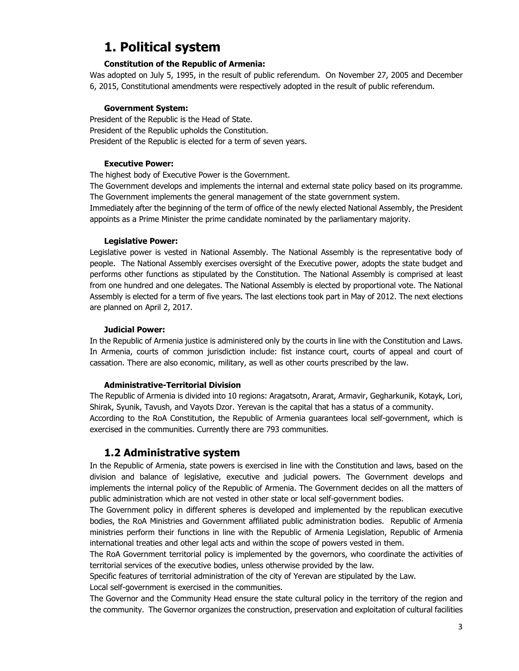# **1. Political system**

### **Constitution of the Republic of Armenia:**

Was adopted on July 5, 1995, in the result of public referendum. On November 27, 2005 and December 6, 2015, Constitutional amendments were respectively adopted in the result of public referendum.

### **Government System:**

President of the Republic is the Head of State. President of the Republic upholds the Constitution. President of the Republic is elected for a term of seven years.

### **Executive Power:**

The highest body of Executive Power is the Government.

The Government develops and implements the internal and external state policy based on its programme. The Government implements the general management of the state government system.

Immediately after the beginning of the term of office of the newly elected National Assembly, the President appoints as a Prime Minister the prime candidate nominated by the parliamentary majority.

### **Legislative Power:**

Legislative power is vested in National Assembly. The National Assembly is the representative body of people. The National Assembly exercises oversight of the Executive power, adopts the state budget and performs other functions as stipulated by the Constitution. The National Assembly is comprised at least from one hundred and one delegates. The National Assembly is elected by proportional vote. The National Assembly is elected for a term of five years. The last elections took part in May of 2012. The next elections are planned on April 2, 2017.

### **Judicial Power:**

In the Republic of Armenia justice is administered only by the courts in line with the Constitution and Laws. In Armenia, courts of common jurisdiction include: fist instance court, courts of appeal and court of cassation. There are also economic, military, as well as other courts prescribed by the law.

### **Administrative-Territorial Division**

The Republic of Armenia is divided into 10 regions: Aragatsotn, Ararat, Armavir, Gegharkunik, Kotayk, Lori, Shirak, Syunik, Tavush, and Vayots Dzor. Yerevan is the capital that has a status of a community. According to the RoA Constitution, the Republic of Armenia guarantees local self-government, which is exercised in the communities. Currently there are 793 communities.

# **1.2 Administrative system**

In the Republic of Armenia, state powers is exercised in line with the Constitution and laws, based on the division and balance of legislative, executive and judicial powers. The Government develops and implements the internal policy of the Republic of Armenia. The Government decides on all the matters of public administration which are not vested in other state or local self-government bodies.

The Government policy in different spheres is developed and implemented by the republican executive bodies, the RoA Ministries and Government affiliated public administration bodies. Republic of Armenia ministries perform their functions in line with the Republic of Armenia Legislation, Republic of Armenia international treaties and other legal acts and within the scope of powers vested in them.

The RoA Government territorial policy is implemented by the governors, who coordinate the activities of territorial services of the executive bodies, unless otherwise provided by the law.

Specific features of territorial administration of the city of Yerevan are stipulated by the Law. Local self-government is exercised in the communities.

The Governor and the Community Head ensure the state cultural policy in the territory of the region and the community. The Governor organizes the construction, preservation and exploitation of cultural facilities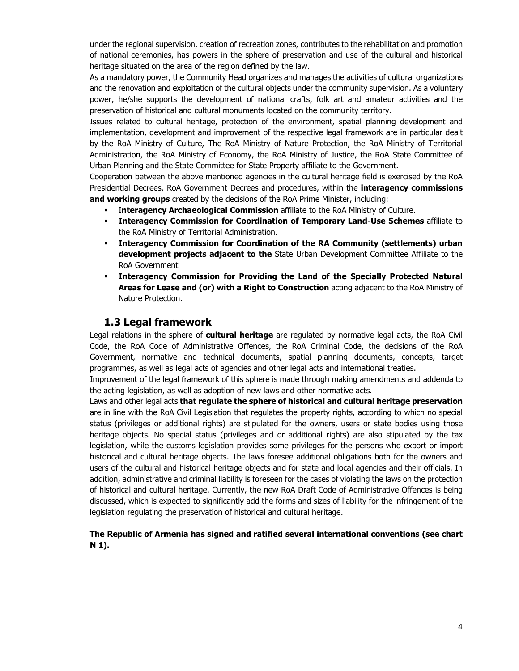under the regional supervision, creation of recreation zones, contributes to the rehabilitation and promotion of national ceremonies, has powers in the sphere of preservation and use of the cultural and historical heritage situated on the area of the region defined by the law.

As a mandatory power, the Community Head organizes and manages the activities of cultural organizations and the renovation and exploitation of the cultural objects under the community supervision. As a voluntary power, he/she supports the development of national crafts, folk art and amateur activities and the preservation of historical and cultural monuments located on the community territory.

Issues related to cultural heritage, protection of the environment, spatial planning development and implementation, development and improvement of the respective legal framework are in particular dealt by the RoA Ministry of Culture, The RoA Ministry of Nature Protection, the RoA Ministry of Territorial Administration, the RoA Ministry of Economy, the RoA Ministry of Justice, the RoA State Committee of Urban Planning and the State Committee for State Property affiliate to the Government.

Cooperation between the above mentioned agencies in the cultural heritage field is exercised by the RoA Presidential Decrees, RoA Government Decrees and procedures, within the **interagency commissions and working groups** created by the decisions of the RoA Prime Minister, including:

- I**nteragency Archaeological Commission** affiliate to the RoA Ministry of Culture.
- **Interagency Commission for Coordination of Temporary Land-Use Schemes** affiliate to the RoA Ministry of Territorial Administration.
- **Interagency Commission for Coordination of the RA Community (settlements) urban development projects adjacent to the** State Urban Development Committee Affiliate to the RoA Government
- **Interagency Commission for Providing the Land of the Specially Protected Natural Areas for Lease and (or) with a Right to Construction** acting adjacent to the RoA Ministry of Nature Protection.

## **1.3 Legal framework**

Legal relations in the sphere of **cultural heritage** are regulated by normative legal acts, the RoA Civil Code, the RoA Code of Administrative Offences, the RoA Criminal Code, the decisions of the RoA Government, normative and technical documents, spatial planning documents, concepts, target programmes, as well as legal acts of agencies and other legal acts and international treaties.

Improvement of the legal framework of this sphere is made through making amendments and addenda to the acting legislation, as well as adoption of new laws and other normative acts.

Laws and other legal acts **that regulate the sphere of historical and cultural heritage preservation**  are in line with the RoA Civil Legislation that regulates the property rights, according to which no special status (privileges or additional rights) are stipulated for the owners, users or state bodies using those heritage objects. No special status (privileges and or additional rights) are also stipulated by the tax legislation, while the customs legislation provides some privileges for the persons who export or import historical and cultural heritage objects. The laws foresee additional obligations both for the owners and users of the cultural and historical heritage objects and for state and local agencies and their officials. In addition, administrative and criminal liability is foreseen for the cases of violating the laws on the protection of historical and cultural heritage. Currently, the new RoA Draft Code of Administrative Offences is being discussed, which is expected to significantly add the forms and sizes of liability for the infringement of the legislation regulating the preservation of historical and cultural heritage.

### **The Republic of Armenia has signed and ratified several international conventions (see chart N 1).**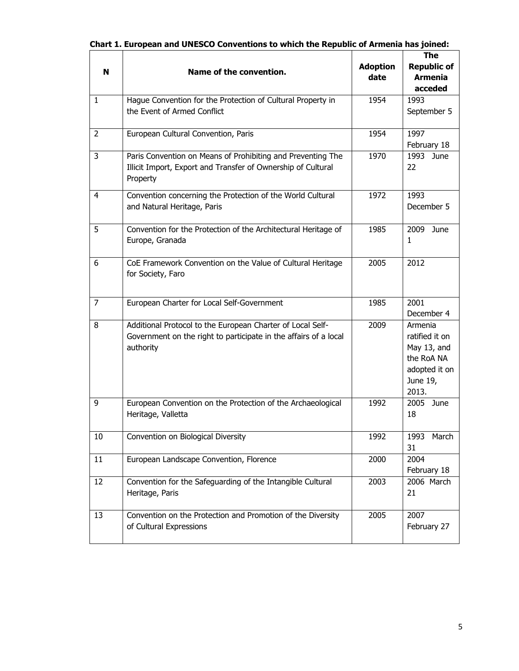| N              | Name of the convention.                                                                                                                     | <b>Adoption</b><br>date | The<br><b>Republic of</b><br><b>Armenia</b><br>acceded                                       |
|----------------|---------------------------------------------------------------------------------------------------------------------------------------------|-------------------------|----------------------------------------------------------------------------------------------|
| $\mathbf{1}$   | Hague Convention for the Protection of Cultural Property in<br>the Event of Armed Conflict                                                  | 1954                    | 1993<br>September 5                                                                          |
| $\overline{2}$ | European Cultural Convention, Paris                                                                                                         | 1954                    | 1997<br>February 18                                                                          |
| 3              | Paris Convention on Means of Prohibiting and Preventing The<br>Illicit Import, Export and Transfer of Ownership of Cultural<br>Property     | 1970                    | 1993<br>June<br>22                                                                           |
| $\overline{4}$ | Convention concerning the Protection of the World Cultural<br>and Natural Heritage, Paris                                                   | 1972                    | 1993<br>December 5                                                                           |
| 5              | Convention for the Protection of the Architectural Heritage of<br>Europe, Granada                                                           | 1985                    | 2009<br>June<br>1                                                                            |
| 6              | CoE Framework Convention on the Value of Cultural Heritage<br>for Society, Faro                                                             | 2005                    | 2012                                                                                         |
| $\overline{7}$ | European Charter for Local Self-Government                                                                                                  | 1985                    | 2001<br>December 4                                                                           |
| 8              | Additional Protocol to the European Charter of Local Self-<br>Government on the right to participate in the affairs of a local<br>authority | 2009                    | Armenia<br>ratified it on<br>May 13, and<br>the RoA NA<br>adopted it on<br>June 19,<br>2013. |
| 9              | European Convention on the Protection of the Archaeological<br>Heritage, Valletta                                                           | 1992                    | 2005<br>June<br>18                                                                           |
| 10             | Convention on Biological Diversity                                                                                                          | 1992                    | March<br>1993<br>31                                                                          |
| 11             | European Landscape Convention, Florence                                                                                                     | 2000                    | 2004<br>February 18                                                                          |
| 12             | Convention for the Safeguarding of the Intangible Cultural<br>Heritage, Paris                                                               | 2003                    | 2006 March<br>21                                                                             |
| 13             | Convention on the Protection and Promotion of the Diversity<br>of Cultural Expressions                                                      | 2005                    | 2007<br>February 27                                                                          |

|  | Chart 1. European and UNESCO Conventions to which the Republic of Armenia has joined: |  |  |
|--|---------------------------------------------------------------------------------------|--|--|
|  |                                                                                       |  |  |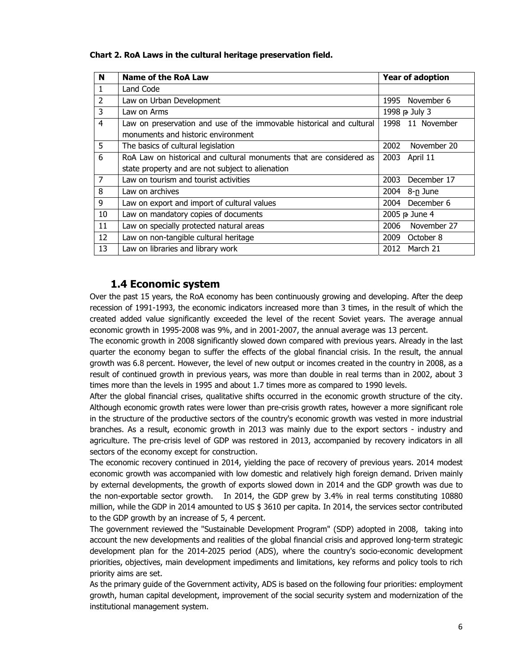| Chart 2. RoA Laws in the cultural heritage preservation field. |  |
|----------------------------------------------------------------|--|
|----------------------------------------------------------------|--|

| N              | Name of the RoA Law                                                  | <b>Year of adoption</b> |
|----------------|----------------------------------------------------------------------|-------------------------|
|                | Land Code                                                            |                         |
| $\overline{2}$ | Law on Urban Development                                             | November 6<br>1995      |
| 3              | Law on Arms                                                          | 1998 p July 3           |
| 4              | Law on preservation and use of the immovable historical and cultural | 11 November<br>1998     |
|                | monuments and historic environment                                   |                         |
| 5              | The basics of cultural legislation                                   | 2002<br>November 20     |
| 6              | RoA Law on historical and cultural monuments that are considered as  | 2003<br>April 11        |
|                | state property and are not subject to alienation                     |                         |
| $\overline{7}$ | Law on tourism and tourist activities                                | December 17<br>2003     |
| 8              | Law on archives                                                      | 2004<br>8-n June        |
| 9              | Law on export and import of cultural values                          | 2004 December 6         |
| 10             | Law on mandatory copies of documents                                 | 2005 p June 4           |
| 11             | Law on specially protected natural areas                             | November 27<br>2006     |
| 12             | Law on non-tangible cultural heritage                                | 2009<br>October 8       |
| 13             | Law on libraries and library work                                    | March 21<br>2012        |

## **1.4 Economic system**

Over the past 15 years, the RoA economy has been continuously growing and developing. After the deep recession of 1991-1993, the economic indicators increased more than 3 times, in the result of which the created added value significantly exceeded the level of the recent Soviet years. The average annual economic growth in 1995-2008 was 9%, and in 2001-2007, the annual average was 13 percent.

The economic growth in 2008 significantly slowed down compared with previous years. Already in the last quarter the economy began to suffer the effects of the global financial crisis. In the result, the annual growth was 6.8 percent. However, the level of new output or incomes created in the country in 2008, as a result of continued growth in previous years, was more than double in real terms than in 2002, about 3 times more than the levels in 1995 and about 1.7 times more as compared to 1990 levels.

After the global financial crises, qualitative shifts occurred in the economic growth structure of the city. Although economic growth rates were lower than pre-crisis growth rates, however a more significant role in the structure of the productive sectors of the country's economic growth was vested in more industrial branches. As a result, economic growth in 2013 was mainly due to the export sectors - industry and agriculture. The pre-crisis level of GDP was restored in 2013, accompanied by recovery indicators in all sectors of the economy except for construction.

The economic recovery continued in 2014, yielding the pace of recovery of previous years. 2014 modest economic growth was accompanied with low domestic and relatively high foreign demand. Driven mainly by external developments, the growth of exports slowed down in 2014 and the GDP growth was due to the non-exportable sector growth. In 2014, the GDP grew by 3.4% in real terms constituting 10880 million, while the GDP in 2014 amounted to US \$ 3610 per capita. In 2014, the services sector contributed to the GDP growth by an increase of 5, 4 percent.

The government reviewed the "Sustainable Development Program" (SDP) adopted in 2008, taking into account the new developments and realities of the global financial crisis and approved long-term strategic development plan for the 2014-2025 period (ADS), where the country's socio-economic development priorities, objectives, main development impediments and limitations, key reforms and policy tools to rich priority aims are set.

As the primary guide of the Government activity, ADS is based on the following four priorities: employment growth, human capital development, improvement of the social security system and modernization of the institutional management system.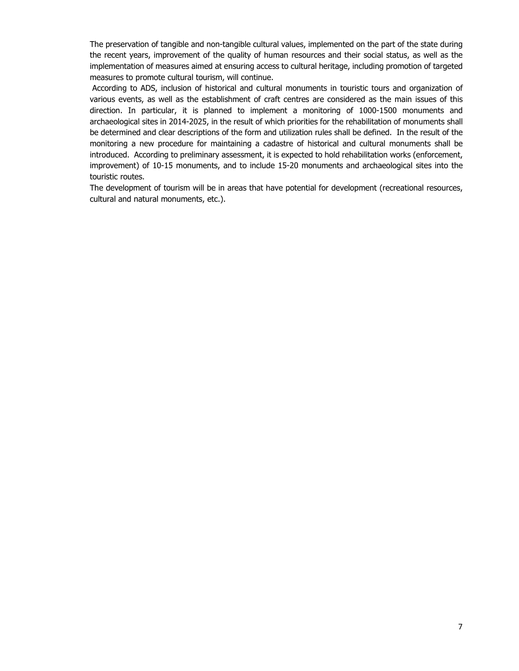The preservation of tangible and non-tangible cultural values, implemented on the part of the state during the recent years, improvement of the quality of human resources and their social status, as well as the implementation of measures aimed at ensuring access to cultural heritage, including promotion of targeted measures to promote cultural tourism, will continue.

 According to ADS, inclusion of historical and cultural monuments in touristic tours and organization of various events, as well as the establishment of craft centres are considered as the main issues of this direction. In particular, it is planned to implement a monitoring of 1000-1500 monuments and archaeological sites in 2014-2025, in the result of which priorities for the rehabilitation of monuments shall be determined and clear descriptions of the form and utilization rules shall be defined. In the result of the monitoring a new procedure for maintaining a cadastre of historical and cultural monuments shall be introduced. According to preliminary assessment, it is expected to hold rehabilitation works (enforcement, improvement) of 10-15 monuments, and to include 15-20 monuments and archaeological sites into the touristic routes.

The development of tourism will be in areas that have potential for development (recreational resources, cultural and natural monuments, etc.).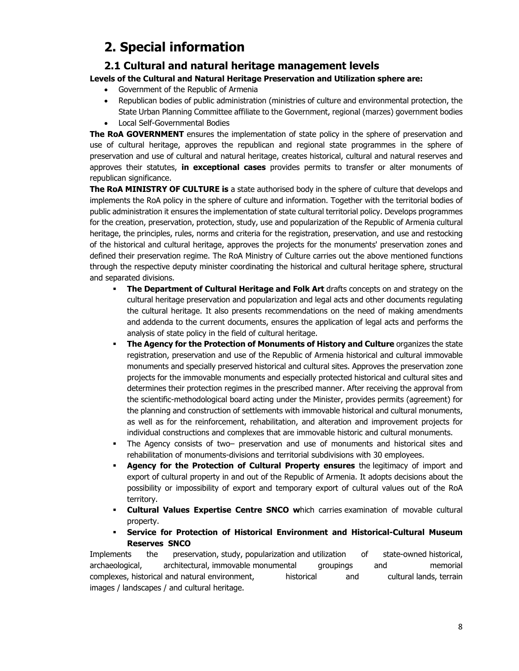# **2. Special information**

# **2.1 Cultural and natural heritage management levels**

### **Levels of the Cultural and Natural Heritage Preservation and Utilization sphere are:**

- Government of the Republic of Armenia
- Republican bodies of public administration (ministries of culture and environmental protection, the State Urban Planning Committee affiliate to the Government, regional (marzes) government bodies
- Local Self-Governmental Bodies

**The RoA GOVERNMENT** ensures the implementation of state policy in the sphere of preservation and use of cultural heritage, approves the republican and regional state programmes in the sphere of preservation and use of cultural and natural heritage, creates historical, cultural and natural reserves and approves their statutes, **in exceptional cases** provides permits to transfer or alter monuments of republican significance.

**The RoA MINISTRY OF CULTURE is** a state authorised body in the sphere of culture that develops and implements the RoA policy in the sphere of culture and information. Together with the territorial bodies of public administration it ensures the implementation of state cultural territorial policy. Develops programmes for the creation, preservation, protection, study, use and popularization of the Republic of Armenia cultural heritage, the principles, rules, norms and criteria for the registration, preservation, and use and restocking of the historical and cultural heritage, approves the projects for the monuments' preservation zones and defined their preservation regime. The RoA Ministry of Culture carries out the above mentioned functions through the respective deputy minister coordinating the historical and cultural heritage sphere, structural and separated divisions.

- **The Department of Cultural Heritage and Folk Art drafts concepts on and strategy on the** cultural heritage preservation and popularization and legal acts and other documents regulating the cultural heritage. It also presents recommendations on the need of making amendments and addenda to the current documents, ensures the application of legal acts and performs the analysis of state policy in the field of cultural heritage.
- **The Agency for the Protection of Monuments of History and Culture** organizes the state registration, preservation and use of the Republic of Armenia historical and cultural immovable monuments and specially preserved historical and cultural sites. Approves the preservation zone projects for the immovable monuments and especially protected historical and cultural sites and determines their protection regimes in the prescribed manner. After receiving the approval from the scientific-methodological board acting under the Minister, provides permits (agreement) for the planning and construction of settlements with immovable historical and cultural monuments, as well as for the reinforcement, rehabilitation, and alteration and improvement projects for individual constructions and complexes that are immovable historic and cultural monuments.
- The Agency consists of two– preservation and use of monuments and historical sites and rehabilitation of monuments-divisions and territorial subdivisions with 30 employees.
- **Agency for the Protection of Cultural Property ensures** the legitimacy of import and export of cultural property in and out of the Republic of Armenia. It adopts decisions about the possibility or impossibility of export and temporary export of cultural values out of the RoA territory.
- **Cultural Values Expertise Centre SNCO w**hich carries examination of movable cultural property.
- **Service for Protection of Historical Environment and Historical-Cultural Museum Reserves SNCO**

Implements the preservation, study, popularization and utilization of state-owned historical, archaeological, architectural, immovable monumental groupings and memorial complexes, historical and natural environment, historical and cultural lands, terrain images / landscapes / and cultural heritage.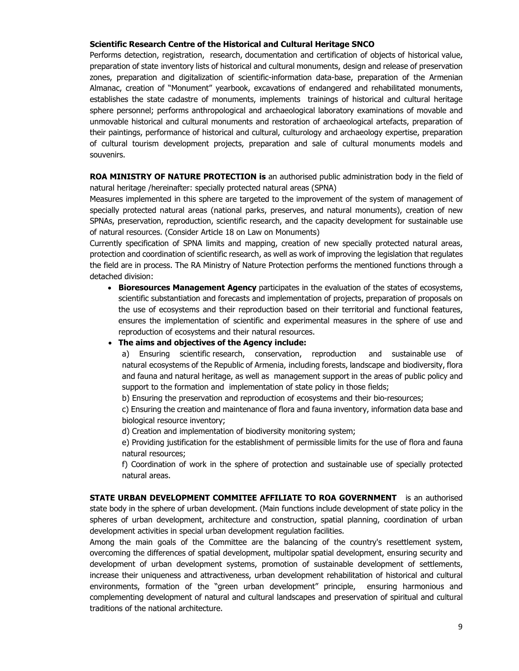### **Scientific Research Centre of the Historical and Cultural Heritage SNCO**

Performs detection, registration, research, documentation and certification of objects of historical value, preparation of state inventory lists of historical and cultural monuments, design and release of preservation zones, preparation and digitalization of scientific-information data-base, preparation of the Armenian Almanac, creation of "Monument" yearbook, excavations of endangered and rehabilitated monuments, establishes the state cadastre of monuments, implements trainings of historical and cultural heritage sphere personnel; performs anthropological and archaeological laboratory examinations of movable and unmovable historical and cultural monuments and restoration of archaeological artefacts, preparation of their paintings, performance of historical and cultural, culturology and archaeology expertise, preparation of cultural tourism development projects, preparation and sale of cultural monuments models and souvenirs.

**ROA MINISTRY OF NATURE PROTECTION is** an authorised public administration body in the field of natural heritage /hereinafter: specially protected natural areas (SPNA)

Measures implemented in this sphere are targeted to the improvement of the system of management of specially protected natural areas (national parks, preserves, and natural monuments), creation of new SPNAs, preservation, reproduction, scientific research, and the capacity development for sustainable use of natural resources. (Consider Article 18 on Law on Monuments)

Currently specification of SPNA limits and mapping, creation of new specially protected natural areas, protection and coordination of scientific research, as well as work of improving the legislation that regulates the field are in process. The RA Ministry of Nature Protection performs the mentioned functions through a detached division:

**Bioresources Management Agency** participates in the evaluation of the states of ecosystems, scientific substantiation and forecasts and implementation of projects, preparation of proposals on the use of ecosystems and their reproduction based on their territorial and functional features, ensures the implementation of scientific and experimental measures in the sphere of use and reproduction of ecosystems and their natural resources.

#### **The aims and objectives of the Agency include:**

a) Ensuring scientific research, conservation, reproduction and sustainable use of natural ecosystems of the Republic of Armenia, including forests, landscape and biodiversity, flora and fauna and natural heritage, as well as management support in the areas of public policy and support to the formation and implementation of state policy in those fields;

b) Ensuring the preservation and reproduction of ecosystems and their bio-resources;

c) Ensuring the creation and maintenance of flora and fauna inventory, information data base and biological resource inventory;

d) Creation and implementation of biodiversity monitoring system;

e) Providing justification for the establishment of permissible limits for the use of flora and fauna natural resources;

f) Coordination of work in the sphere of protection and sustainable use of specially protected natural areas.

**STATE URBAN DEVELOPMENT COMMITEE AFFILIATE TO ROA GOVERNMENT** is an authorised state body in the sphere of urban development. (Main functions include development of state policy in the spheres of urban development, architecture and construction, spatial planning, coordination of urban development activities in special urban development regulation facilities.

Among the main goals of the Committee are the balancing of the country's resettlement system, overcoming the differences of spatial development, multipolar spatial development, ensuring security and development of urban development systems, promotion of sustainable development of settlements, increase their uniqueness and attractiveness, urban development rehabilitation of historical and cultural environments, formation of the "green urban development" principle, ensuring harmonious and complementing development of natural and cultural landscapes and preservation of spiritual and cultural traditions of the national architecture.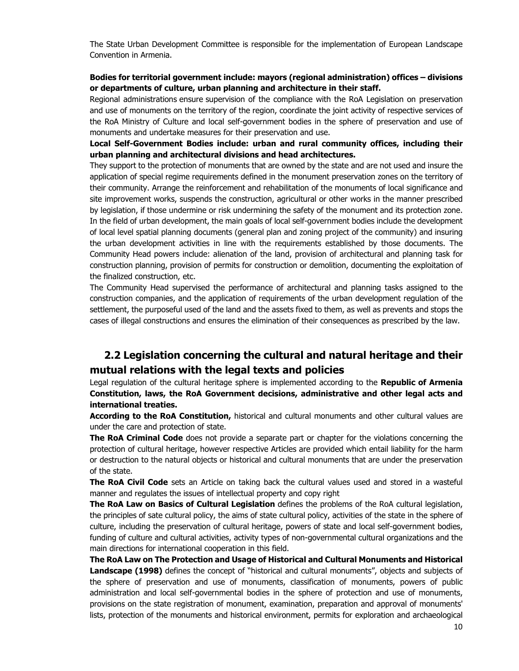The State Urban Development Committee is responsible for the implementation of European Landscape Convention in Armenia.

### **Bodies for territorial government include: mayors (regional administration) offices – divisions or departments of culture, urban planning and architecture in their staff.**

Regional administrations ensure supervision of the compliance with the RoA Legislation on preservation and use of monuments on the territory of the region, coordinate the joint activity of respective services of the RoA Ministry of Culture and local self-government bodies in the sphere of preservation and use of monuments and undertake measures for their preservation and use.

### **Local Self-Government Bodies include: urban and rural community offices, including their urban planning and architectural divisions and head architectures.**

They support to the protection of monuments that are owned by the state and are not used and insure the application of special regime requirements defined in the monument preservation zones on the territory of their community. Arrange the reinforcement and rehabilitation of the monuments of local significance and site improvement works, suspends the construction, agricultural or other works in the manner prescribed by legislation, if those undermine or risk undermining the safety of the monument and its protection zone. In the field of urban development, the main goals of local self-government bodies include the development of local level spatial planning documents (general plan and zoning project of the community) and insuring the urban development activities in line with the requirements established by those documents. The Community Head powers include: alienation of the land, provision of architectural and planning task for construction planning, provision of permits for construction or demolition, documenting the exploitation of the finalized construction, etc.

The Community Head supervised the performance of architectural and planning tasks assigned to the construction companies, and the application of requirements of the urban development regulation of the settlement, the purposeful used of the land and the assets fixed to them, as well as prevents and stops the cases of illegal constructions and ensures the elimination of their consequences as prescribed by the law.

# **2.2 Legislation concerning the cultural and natural heritage and their mutual relations with the legal texts and policies**

Legal regulation of the cultural heritage sphere is implemented according to the **Republic of Armenia Constitution, laws, the RoA Government decisions, administrative and other legal acts and international treaties.** 

**According to the RoA Constitution,** historical and cultural monuments and other cultural values are under the care and protection of state.

**The RoA Criminal Code** does not provide a separate part or chapter for the violations concerning the protection of cultural heritage, however respective Articles are provided which entail liability for the harm or destruction to the natural objects or historical and cultural monuments that are under the preservation of the state.

**The RoA Civil Code** sets an Article on taking back the cultural values used and stored in a wasteful manner and regulates the issues of intellectual property and copy right

**The RoA Law on Basics of Cultural Legislation** defines the problems of the RoA cultural legislation, the principles of sate cultural policy, the aims of state cultural policy, activities of the state in the sphere of culture, including the preservation of cultural heritage, powers of state and local self-government bodies, funding of culture and cultural activities, activity types of non-governmental cultural organizations and the main directions for international cooperation in this field.

**The RoA Law on The Protection and Usage of Historical and Cultural Monuments and Historical Landscape (1998)** defines the concept of "historical and cultural monuments", objects and subjects of the sphere of preservation and use of monuments, classification of monuments, powers of public administration and local self-governmental bodies in the sphere of protection and use of monuments, provisions on the state registration of monument, examination, preparation and approval of monuments' lists, protection of the monuments and historical environment, permits for exploration and archaeological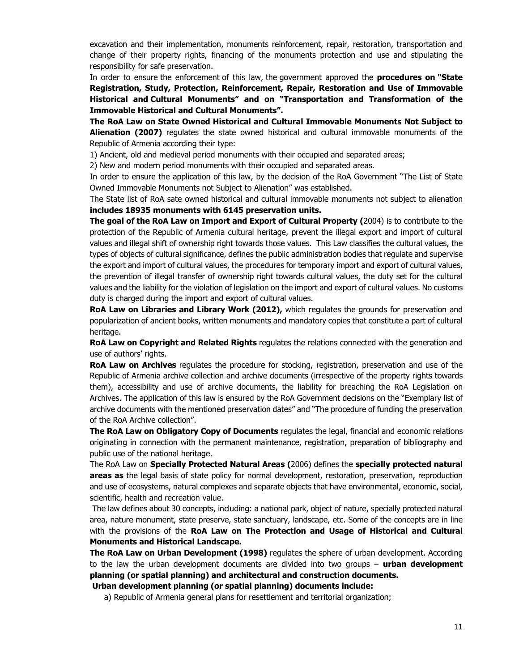excavation and their implementation, monuments reinforcement, repair, restoration, transportation and change of their property rights, financing of the monuments protection and use and stipulating the responsibility for safe preservation.

In order to ensure the enforcement of this law, the government approved the **procedures on "State Registration, Study, Protection, Reinforcement, Repair, Restoration and Use of Immovable Historical and Cultural Monuments" and on "Transportation and Transformation of the Immovable Historical and Cultural Monuments".** 

**The RoA Law on State Owned Historical and Cultural Immovable Monuments Not Subject to Alienation (2007)** regulates the state owned historical and cultural immovable monuments of the Republic of Armenia according their type:

1) Ancient, old and medieval period monuments with their occupied and separated areas;

2) New and modern period monuments with their occupied and separated areas.

In order to ensure the application of this law, by the decision of the RoA Government "The List of State Owned Immovable Monuments not Subject to Alienation" was established.

The State list of RoA sate owned historical and cultural immovable monuments not subject to alienation **includes 18935 monuments with 6145 preservation units.** 

**The goal of the RoA Law on Import and Export of Cultural Property (**2004) is to contribute to the protection of the Republic of Armenia cultural heritage, prevent the illegal export and import of cultural values and illegal shift of ownership right towards those values. This Law classifies the cultural values, the types of objects of cultural significance, defines the public administration bodies that regulate and supervise the export and import of cultural values, the procedures for temporary import and export of cultural values, the prevention of illegal transfer of ownership right towards cultural values, the duty set for the cultural values and the liability for the violation of legislation on the import and export of cultural values. No customs duty is charged during the import and export of cultural values.

**RoA Law on Libraries and Library Work (2012),** which regulates the grounds for preservation and popularization of ancient books, written monuments and mandatory copies that constitute a part of cultural heritage.

**RoA Law on Copyright and Related Rights** regulates the relations connected with the generation and use of authors' rights.

**RoA Law on Archives** regulates the procedure for stocking, registration, preservation and use of the Republic of Armenia archive collection and archive documents (irrespective of the property rights towards them), accessibility and use of archive documents, the liability for breaching the RoA Legislation on Archives. The application of this law is ensured by the RoA Government decisions on the "Exemplary list of archive documents with the mentioned preservation dates" and "The procedure of funding the preservation of the RoA Archive collection".

**The RoA Law on Obligatory Copy of Documents** regulates the legal, financial and economic relations originating in connection with the permanent maintenance, registration, preparation of bibliography and public use of the national heritage.

The RoA Law on **Specially Protected Natural Areas (**2006) defines the **specially protected natural areas as** the legal basis of state policy for normal development, restoration, preservation, reproduction and use of ecosystems, natural complexes and separate objects that have environmental, economic, social, scientific, health and recreation value.

 The law defines about 30 concepts, including: a national park, object of nature, specially protected natural area, nature monument, state preserve, state sanctuary, landscape, etc. Some of the concepts are in line with the provisions of the **RoA Law on The Protection and Usage of Historical and Cultural Monuments and Historical Landscape.**

**The RoA Law on Urban Development (1998)** regulates the sphere of urban development. According to the law the urban development documents are divided into two groups – **urban development planning (or spatial planning) and architectural and construction documents.**

**Urban development planning (or spatial planning) documents include:** 

a) Republic of Armenia general plans for resettlement and territorial organization;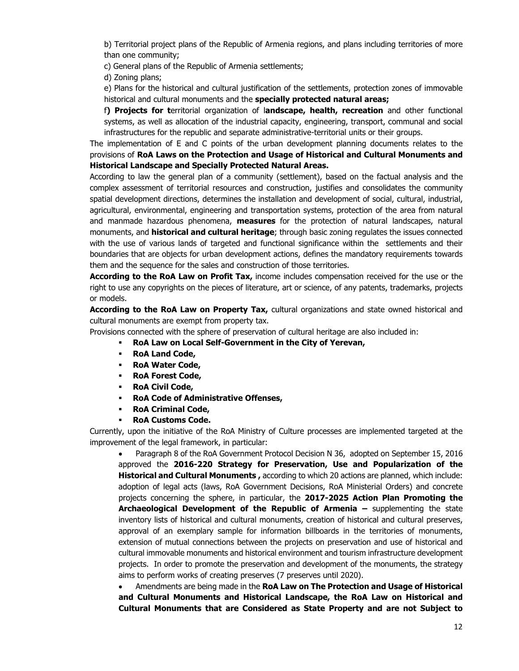b) Territorial project plans of the Republic of Armenia regions, and plans including territories of more than one community;

c) General plans of the Republic of Armenia settlements;

d) Zoning plans;

e) Plans for the historical and cultural justification of the settlements, protection zones of immovable historical and cultural monuments and the **specially protected natural areas;**

f**) Projects for t**erritorial organization of l**andscape, health, recreation** and other functional systems, as well as allocation of the industrial capacity, engineering, transport, communal and social infrastructures for the republic and separate administrative-territorial units or their groups.

The implementation of E and C points of the urban development planning documents relates to the provisions of **RoA Laws on the Protection and Usage of Historical and Cultural Monuments and Historical Landscape and Specially Protected Natural Areas.**

According to law the general plan of a community (settlement), based on the factual analysis and the complex assessment of territorial resources and construction, justifies and consolidates the community spatial development directions, determines the installation and development of social, cultural, industrial, agricultural, environmental, engineering and transportation systems, protection of the area from natural and manmade hazardous phenomena, **measures** for the protection of natural landscapes, natural monuments, and **historical and cultural heritage**; through basic zoning regulates the issues connected with the use of various lands of targeted and functional significance within the settlements and their boundaries that are objects for urban development actions, defines the mandatory requirements towards them and the sequence for the sales and construction of those territories.

**According to the RoA Law on Profit Tax,** income includes compensation received for the use or the right to use any copyrights on the pieces of literature, art or science, of any patents, trademarks, projects or models.

**According to the RoA Law on Property Tax,** cultural organizations and state owned historical and cultural monuments are exempt from property tax.

Provisions connected with the sphere of preservation of cultural heritage are also included in:

- **RoA Law on Local Self-Government in the City of Yerevan,**
- **RoA Land Code,**
- **RoA Water Code,**
- **RoA Forest Code,**
- **RoA Civil Code,**
- **RoA Code of Administrative Offenses,**
- **RoA Criminal Code,**
- **RoA Customs Code.**

Currently, upon the initiative of the RoA Ministry of Culture processes are implemented targeted at the improvement of the legal framework, in particular:

 Paragraph 8 of the RoA Government Protocol Decision N 36, adopted on September 15, 2016 approved the **2016-220 Strategy for Preservation, Use and Popularization of the Historical and Cultural Monuments ,** according to which 20 actions are planned, which include: adoption of legal acts (laws, RoA Government Decisions, RoA Ministerial Orders) and concrete projects concerning the sphere, in particular, the **2017-2025 Action Plan Promoting the Archaeological Development of the Republic of Armenia –** supplementing the state inventory lists of historical and cultural monuments, creation of historical and cultural preserves, approval of an exemplary sample for information billboards in the territories of monuments, extension of mutual connections between the projects on preservation and use of historical and cultural immovable monuments and historical environment and tourism infrastructure development projects. In order to promote the preservation and development of the monuments, the strategy aims to perform works of creating preserves (7 preserves until 2020).

 Amendments are being made in the **RoA Law on The Protection and Usage of Historical and Cultural Monuments and Historical Landscape, the RoA Law on Historical and Cultural Monuments that are Considered as State Property and are not Subject to**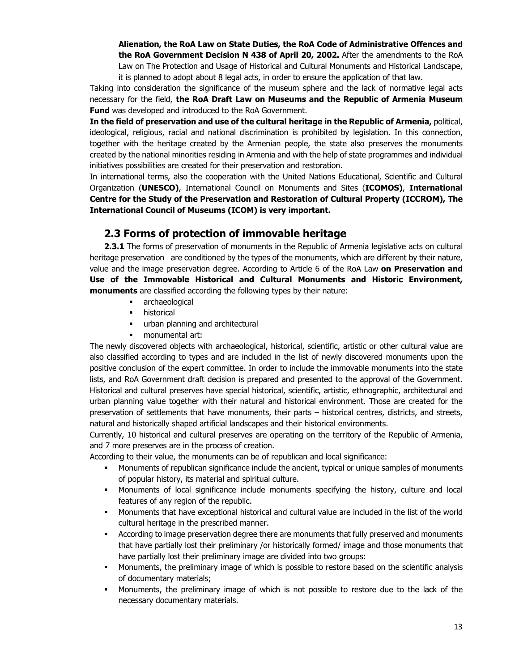**Alienation, the RoA Law on State Duties, the RoA Code of Administrative Offences and the RoA Government Decision N 438 of April 20, 2002.** After the amendments to the RoA Law on The Protection and Usage of Historical and Cultural Monuments and Historical Landscape, it is planned to adopt about 8 legal acts, in order to ensure the application of that law.

Taking into consideration the significance of the museum sphere and the lack of normative legal acts necessary for the field, **the RoA Draft Law on Museums and the Republic of Armenia Museum Fund** was developed and introduced to the RoA Government.

**In the field of preservation and use of the cultural heritage in the Republic of Armenia,** political, ideological, religious, racial and national discrimination is prohibited by legislation. In this connection, together with the heritage created by the Armenian people, the state also preserves the monuments created by the national minorities residing in Armenia and with the help of state programmes and individual initiatives possibilities are created for their preservation and restoration.

In international terms, also the cooperation with the United Nations Educational, Scientific and Cultural Organization (**UNESCO)**, International Council on Monuments and Sites (**ICOMOS)**, **International Centre for the Study of the Preservation and Restoration of Cultural Property (ICCROM), The International Council of Museums (ICOM) is very important.**

# **2.3 Forms of protection of immovable heritage**

**2.3.1** The forms of preservation of monuments in the Republic of Armenia legislative acts on cultural heritage preservation are conditioned by the types of the monuments, which are different by their nature, value and the image preservation degree. According to Article 6 of the RoA Law **on Preservation and Use of the Immovable Historical and Cultural Monuments and Historic Environment, monuments** are classified according the following types by their nature:

- **archaeological**
- **•** historical
- **urban planning and architectural**
- monumental art:

The newly discovered objects with archaeological, historical, scientific, artistic or other cultural value are also classified according to types and are included in the list of newly discovered monuments upon the positive conclusion of the expert committee. In order to include the immovable monuments into the state lists, and RoA Government draft decision is prepared and presented to the approval of the Government. Historical and cultural preserves have special historical, scientific, artistic, ethnographic, architectural and urban planning value together with their natural and historical environment. Those are created for the preservation of settlements that have monuments, their parts – historical centres, districts, and streets, natural and historically shaped artificial landscapes and their historical environments.

Currently, 10 historical and cultural preserves are operating on the territory of the Republic of Armenia, and 7 more preserves are in the process of creation.

According to their value, the monuments can be of republican and local significance:

- **Monuments of republican significance include the ancient, typical or unique samples of monuments** of popular history, its material and spiritual culture.
- Monuments of local significance include monuments specifying the history, culture and local features of any region of the republic.
- Monuments that have exceptional historical and cultural value are included in the list of the world cultural heritage in the prescribed manner.
- According to image preservation degree there are monuments that fully preserved and monuments that have partially lost their preliminary /or historically formed/ image and those monuments that have partially lost their preliminary image are divided into two groups:
- Monuments, the preliminary image of which is possible to restore based on the scientific analysis of documentary materials;
- Monuments, the preliminary image of which is not possible to restore due to the lack of the necessary documentary materials.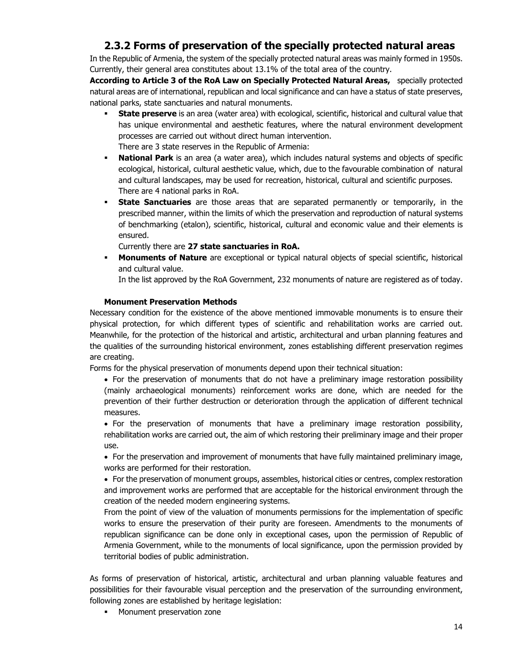# **2.3.2 Forms of preservation of the specially protected natural areas**

In the Republic of Armenia, the system of the specially protected natural areas was mainly formed in 1950s. Currently, their general area constitutes about 13.1% of the total area of the country.

**According to Article 3 of the RoA Law on Specially Protected Natural Areas,** specially protected natural areas are of international, republican and local significance and can have a status of state preserves, national parks, state sanctuaries and natural monuments.

- **State preserve** is an area (water area) with ecological, scientific, historical and cultural value that has unique environmental and aesthetic features, where the natural environment development processes are carried out without direct human intervention.
- There are 3 state reserves in the Republic of Armenia:
- **National Park** is an area (a water area), which includes natural systems and objects of specific ecological, historical, cultural aesthetic value, which, due to the favourable combination of natural and cultural landscapes, may be used for recreation, historical, cultural and scientific purposes. There are 4 national parks in RoA.
- **State Sanctuaries** are those areas that are separated permanently or temporarily, in the prescribed manner, within the limits of which the preservation and reproduction of natural systems of benchmarking (etalon), scientific, historical, cultural and economic value and their elements is ensured.

Currently there are **27 state sanctuaries in RoA.** 

 **Monuments of Nature** are exceptional or typical natural objects of special scientific, historical and cultural value.

In the list approved by the RoA Government, 232 monuments of nature are registered as of today.

### **Monument Preservation Methods**

Necessary condition for the existence of the above mentioned immovable monuments is to ensure their physical protection, for which different types of scientific and rehabilitation works are carried out. Meanwhile, for the protection of the historical and artistic, architectural and urban planning features and the qualities of the surrounding historical environment, zones establishing different preservation regimes are creating.

Forms for the physical preservation of monuments depend upon their technical situation:

- For the preservation of monuments that do not have a preliminary image restoration possibility (mainly archaeological monuments) reinforcement works are done, which are needed for the prevention of their further destruction or deterioration through the application of different technical measures.
- For the preservation of monuments that have a preliminary image restoration possibility, rehabilitation works are carried out, the aim of which restoring their preliminary image and their proper use.

 For the preservation and improvement of monuments that have fully maintained preliminary image, works are performed for their restoration.

• For the preservation of monument groups, assembles, historical cities or centres, complex restoration and improvement works are performed that are acceptable for the historical environment through the creation of the needed modern engineering systems.

From the point of view of the valuation of monuments permissions for the implementation of specific works to ensure the preservation of their purity are foreseen. Amendments to the monuments of republican significance can be done only in exceptional cases, upon the permission of Republic of Armenia Government, while to the monuments of local significance, upon the permission provided by territorial bodies of public administration.

As forms of preservation of historical, artistic, architectural and urban planning valuable features and possibilities for their favourable visual perception and the preservation of the surrounding environment, following zones are established by heritage legislation:

**Monument preservation zone**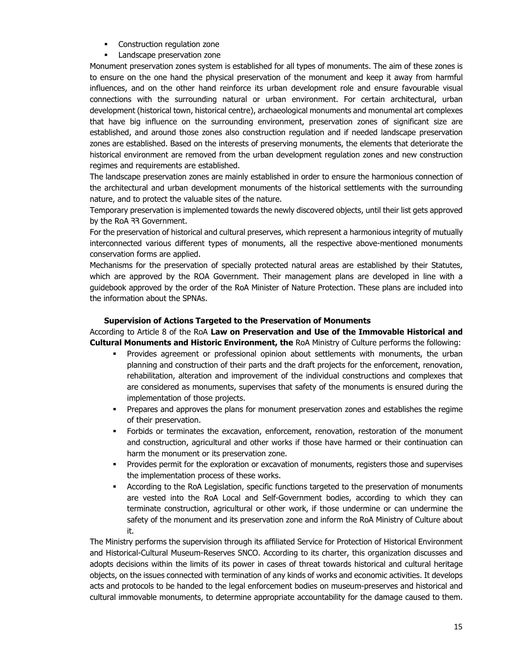- **•** Construction regulation zone
- **Landscape preservation zone**

Monument preservation zones system is established for all types of monuments. The aim of these zones is to ensure on the one hand the physical preservation of the monument and keep it away from harmful influences, and on the other hand reinforce its urban development role and ensure favourable visual connections with the surrounding natural or urban environment. For certain architectural, urban development (historical town, historical centre), archaeological monuments and monumental art complexes that have big influence on the surrounding environment, preservation zones of significant size are established, and around those zones also construction regulation and if needed landscape preservation zones are established. Based on the interests of preserving monuments, the elements that deteriorate the historical environment are removed from the urban development regulation zones and new construction regimes and requirements are established.

The landscape preservation zones are mainly established in order to ensure the harmonious connection of the architectural and urban development monuments of the historical settlements with the surrounding nature, and to protect the valuable sites of the nature.

Temporary preservation is implemented towards the newly discovered objects, until their list gets approved by the RoA 33 Government.

For the preservation of historical and cultural preserves, which represent a harmonious integrity of mutually interconnected various different types of monuments, all the respective above-mentioned monuments conservation forms are applied.

Mechanisms for the preservation of specially protected natural areas are established by their Statutes, which are approved by the ROA Government. Their management plans are developed in line with a guidebook approved by the order of the RoA Minister of Nature Protection. These plans are included into the information about the SPNAs.

### **Supervision of Actions Targeted to the Preservation of Monuments**

According to Article 8 of the RoA **Law on Preservation and Use of the Immovable Historical and Cultural Monuments and Historic Environment, the** RoA Ministry of Culture performs the following:

- Provides agreement or professional opinion about settlements with monuments, the urban planning and construction of their parts and the draft projects for the enforcement, renovation, rehabilitation, alteration and improvement of the individual constructions and complexes that are considered as monuments, supervises that safety of the monuments is ensured during the implementation of those projects.
- Prepares and approves the plans for monument preservation zones and establishes the regime of their preservation.
- Forbids or terminates the excavation, enforcement, renovation, restoration of the monument and construction, agricultural and other works if those have harmed or their continuation can harm the monument or its preservation zone.
- Provides permit for the exploration or excavation of monuments, registers those and supervises the implementation process of these works.
- According to the RoA Legislation, specific functions targeted to the preservation of monuments are vested into the RoA Local and Self-Government bodies, according to which they can terminate construction, agricultural or other work, if those undermine or can undermine the safety of the monument and its preservation zone and inform the RoA Ministry of Culture about it.

The Ministry performs the supervision through its affiliated Service for Protection of Historical Environment and Historical-Cultural Museum-Reserves SNCO. According to its charter, this organization discusses and adopts decisions within the limits of its power in cases of threat towards historical and cultural heritage objects, on the issues connected with termination of any kinds of works and economic activities. It develops acts and protocols to be handed to the legal enforcement bodies on museum-preserves and historical and cultural immovable monuments, to determine appropriate accountability for the damage caused to them.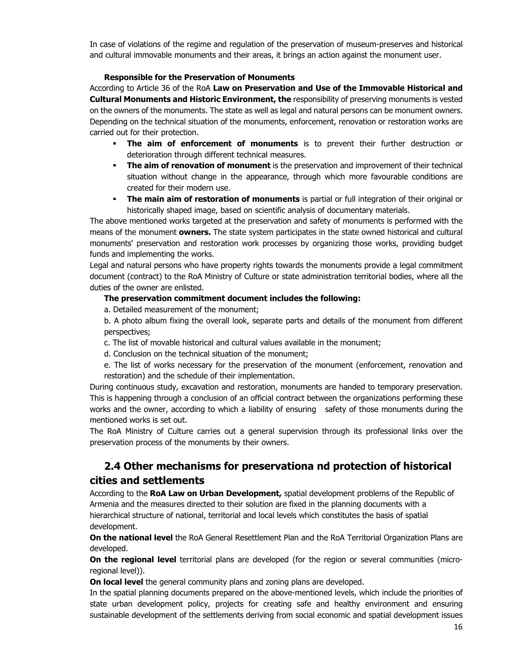In case of violations of the regime and regulation of the preservation of museum-preserves and historical and cultural immovable monuments and their areas, it brings an action against the monument user.

### **Responsible for the Preservation of Monuments**

According to Article 36 of the RoA **Law on Preservation and Use of the Immovable Historical and Cultural Monuments and Historic Environment, the** responsibility of preserving monuments is vested on the owners of the monuments. The state as well as legal and natural persons can be monument owners. Depending on the technical situation of the monuments, enforcement, renovation or restoration works are carried out for their protection.

- **The aim of enforcement of monuments** is to prevent their further destruction or deterioration through different technical measures.
- **The aim of renovation of monument** is the preservation and improvement of their technical situation without change in the appearance, through which more favourable conditions are created for their modern use.
- **The main aim of restoration of monuments** is partial or full integration of their original or historically shaped image, based on scientific analysis of documentary materials.

The above mentioned works targeted at the preservation and safety of monuments is performed with the means of the monument **owners.** The state system participates in the state owned historical and cultural monuments' preservation and restoration work processes by organizing those works, providing budget funds and implementing the works.

Legal and natural persons who have property rights towards the monuments provide a legal commitment document (contract) to the RoA Ministry of Culture or state administration territorial bodies, where all the duties of the owner are enlisted.

### **The preservation commitment document includes the following:**

a. Detailed measurement of the monument;

b. A photo album fixing the overall look, separate parts and details of the monument from different perspectives;

- c. The list of movable historical and cultural values available in the monument;
- d. Conclusion on the technical situation of the monument;
- e. The list of works necessary for the preservation of the monument (enforcement, renovation and restoration) and the schedule of their implementation.

During continuous study, excavation and restoration, monuments are handed to temporary preservation. This is happening through a conclusion of an official contract between the organizations performing these works and the owner, according to which a liability of ensuring safety of those monuments during the mentioned works is set out.

The RoA Ministry of Culture carries out a general supervision through its professional links over the preservation process of the monuments by their owners.

# **2.4 Other mechanisms for preservationa nd protection of historical cities and settlements**

According to the **RoA Law on Urban Development,** spatial development problems of the Republic of Armenia and the measures directed to their solution are fixed in the planning documents with a hierarchical structure of national, territorial and local levels which constitutes the basis of spatial development.

**On the national level** the RoA General Resettlement Plan and the RoA Territorial Organization Plans are developed.

**On the regional level** territorial plans are developed (for the region or several communities (microregional level)).

**On local level** the general community plans and zoning plans are developed.

In the spatial planning documents prepared on the above-mentioned levels, which include the priorities of state urban development policy, projects for creating safe and healthy environment and ensuring sustainable development of the settlements deriving from social economic and spatial development issues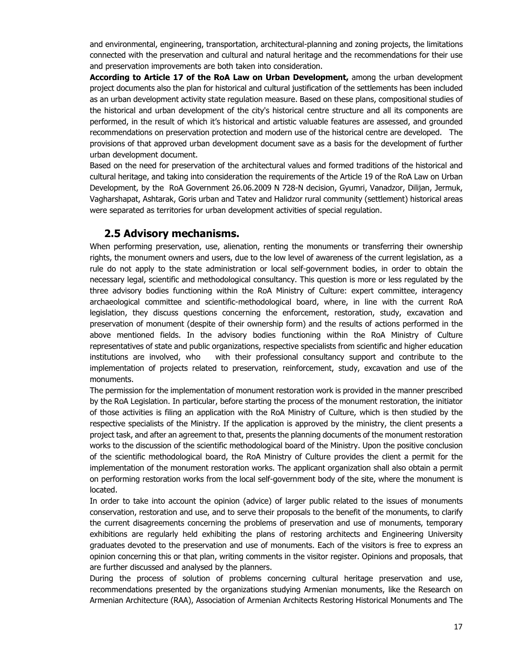and environmental, engineering, transportation, architectural-planning and zoning projects, the limitations connected with the preservation and cultural and natural heritage and the recommendations for their use and preservation improvements are both taken into consideration.

**According to Article 17 of the RoA Law on Urban Development,** among the urban development project documents also the plan for historical and cultural justification of the settlements has been included as an urban development activity state regulation measure. Based on these plans, compositional studies of the historical and urban development of the city's historical centre structure and all its components are performed, in the result of which it's historical and artistic valuable features are assessed, and grounded recommendations on preservation protection and modern use of the historical centre are developed. The provisions of that approved urban development document save as a basis for the development of further urban development document.

Based on the need for preservation of the architectural values and formed traditions of the historical and cultural heritage, and taking into consideration the requirements of the Article 19 of the RoA Law on Urban Development, by the RoA Government 26.06.2009 N 728-N decision, Gyumri, Vanadzor, Dilijan, Jermuk, Vagharshapat, Ashtarak, Goris urban and Tatev and Halidzor rural community (settlement) historical areas were separated as territories for urban development activities of special regulation.

## **2.5 Advisory mechanisms.**

When performing preservation, use, alienation, renting the monuments or transferring their ownership rights, the monument owners and users, due to the low level of awareness of the current legislation, as a rule do not apply to the state administration or local self-government bodies, in order to obtain the necessary legal, scientific and methodological consultancy. This question is more or less regulated by the three advisory bodies functioning within the RoA Ministry of Culture: expert committee, interagency archaeological committee and scientific-methodological board, where, in line with the current RoA legislation, they discuss questions concerning the enforcement, restoration, study, excavation and preservation of monument (despite of their ownership form) and the results of actions performed in the above mentioned fields. In the advisory bodies functioning within the RoA Ministry of Culture representatives of state and public organizations, respective specialists from scientific and higher education institutions are involved, who with their professional consultancy support and contribute to the implementation of projects related to preservation, reinforcement, study, excavation and use of the monuments.

The permission for the implementation of monument restoration work is provided in the manner prescribed by the RoA Legislation. In particular, before starting the process of the monument restoration, the initiator of those activities is filing an application with the RoA Ministry of Culture, which is then studied by the respective specialists of the Ministry. If the application is approved by the ministry, the client presents a project task, and after an agreement to that, presents the planning documents of the monument restoration works to the discussion of the scientific methodological board of the Ministry. Upon the positive conclusion of the scientific methodological board, the RoA Ministry of Culture provides the client a permit for the implementation of the monument restoration works. The applicant organization shall also obtain a permit on performing restoration works from the local self-government body of the site, where the monument is located.

In order to take into account the opinion (advice) of larger public related to the issues of monuments conservation, restoration and use, and to serve their proposals to the benefit of the monuments, to clarify the current disagreements concerning the problems of preservation and use of monuments, temporary exhibitions are regularly held exhibiting the plans of restoring architects and Engineering University graduates devoted to the preservation and use of monuments. Each of the visitors is free to express an opinion concerning this or that plan, writing comments in the visitor register. Opinions and proposals, that are further discussed and analysed by the planners.

During the process of solution of problems concerning cultural heritage preservation and use, recommendations presented by the organizations studying Armenian monuments, like the Research on Armenian Architecture (RAA), Association of Armenian Architects Restoring Historical Monuments and The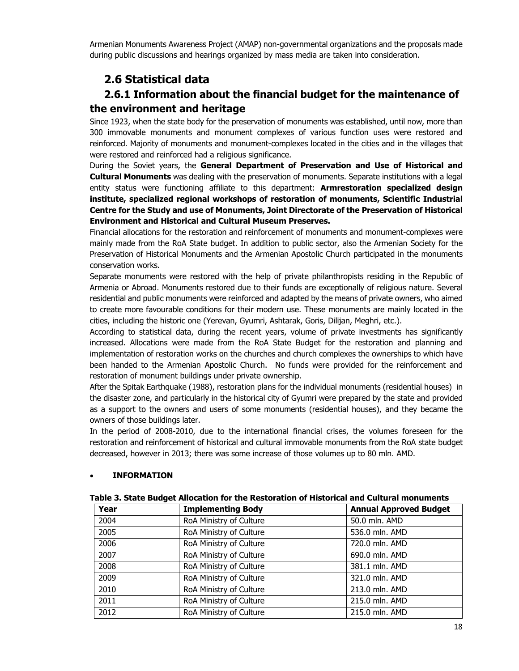Armenian Monuments Awareness Project (AMAP) non-governmental organizations and the proposals made during public discussions and hearings organized by mass media are taken into consideration.

# **2.6 Statistical data**

# **2.6.1 Information about the financial budget for the maintenance of the environment and heritage**

Since 1923, when the state body for the preservation of monuments was established, until now, more than 300 immovable monuments and monument complexes of various function uses were restored and reinforced. Majority of monuments and monument-complexes located in the cities and in the villages that were restored and reinforced had a religious significance.

During the Soviet years, the **General Department of Preservation and Use of Historical and Cultural Monuments** was dealing with the preservation of monuments. Separate institutions with a legal entity status were functioning affiliate to this department: **Armrestoration specialized design institute, specialized regional workshops of restoration of monuments, Scientific Industrial Centre for the Study and use of Monuments, Joint Directorate of the Preservation of Historical Environment and Historical and Cultural Museum Preserves.** 

Financial allocations for the restoration and reinforcement of monuments and monument-complexes were mainly made from the RoA State budget. In addition to public sector, also the Armenian Society for the Preservation of Historical Monuments and the Armenian Apostolic Church participated in the monuments conservation works.

Separate monuments were restored with the help of private philanthropists residing in the Republic of Armenia or Abroad. Monuments restored due to their funds are exceptionally of religious nature. Several residential and public monuments were reinforced and adapted by the means of private owners, who aimed to create more favourable conditions for their modern use. These monuments are mainly located in the cities, including the historic one (Yerevan, Gyumri, Ashtarak, Goris, Dilijan, Meghri, etc.).

According to statistical data, during the recent years, volume of private investments has significantly increased. Allocations were made from the RoA State Budget for the restoration and planning and implementation of restoration works on the churches and church complexes the ownerships to which have been handed to the Armenian Apostolic Church. No funds were provided for the reinforcement and restoration of monument buildings under private ownership.

After the Spitak Earthquake (1988), restoration plans for the individual monuments (residential houses) in the disaster zone, and particularly in the historical city of Gyumri were prepared by the state and provided as a support to the owners and users of some monuments (residential houses), and they became the owners of those buildings later.

In the period of 2008-2010, due to the international financial crises, the volumes foreseen for the restoration and reinforcement of historical and cultural immovable monuments from the RoA state budget decreased, however in 2013; there was some increase of those volumes up to 80 mln. AMD.

### **INFORMATION**

| Year | <b>Implementing Body</b> | <b>Annual Approved Budget</b> |
|------|--------------------------|-------------------------------|
| 2004 | RoA Ministry of Culture  | 50.0 mln. AMD                 |
| 2005 | RoA Ministry of Culture  | 536.0 mln. AMD                |
| 2006 | RoA Ministry of Culture  | 720.0 mln. AMD                |
| 2007 | RoA Ministry of Culture  | 690.0 mln. AMD                |
| 2008 | RoA Ministry of Culture  | 381.1 mln. AMD                |
| 2009 | RoA Ministry of Culture  | 321.0 mln. AMD                |
| 2010 | RoA Ministry of Culture  | 213.0 mln. AMD                |
| 2011 | RoA Ministry of Culture  | 215.0 mln. AMD                |
| 2012 | RoA Ministry of Culture  | 215.0 mln. AMD                |

#### **Table 3. State Budget Allocation for the Restoration of Historical and Cultural monuments**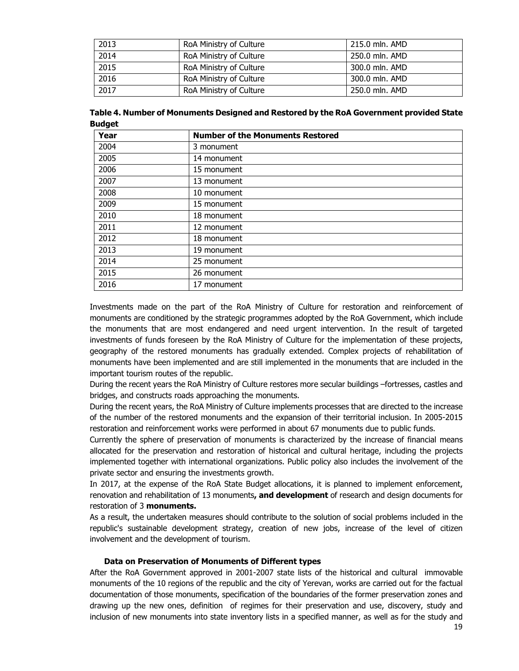| 2013 | RoA Ministry of Culture | 215.0 mln. AMD |
|------|-------------------------|----------------|
| 2014 | RoA Ministry of Culture | 250.0 mln. AMD |
| 2015 | RoA Ministry of Culture | 300.0 mln. AMD |
| 2016 | RoA Ministry of Culture | 300.0 mln. AMD |
| 2017 | RoA Ministry of Culture | 250.0 mln. AMD |

**Table 4. Number of Monuments Designed and Restored by the RoA Government provided State Budget** 

| Year | <b>Number of the Monuments Restored</b> |
|------|-----------------------------------------|
| 2004 | 3 monument                              |
| 2005 | 14 monument                             |
| 2006 | 15 monument                             |
| 2007 | 13 monument                             |
| 2008 | 10 monument                             |
| 2009 | 15 monument                             |
| 2010 | 18 monument                             |
| 2011 | 12 monument                             |
| 2012 | 18 monument                             |
| 2013 | 19 monument                             |
| 2014 | 25 monument                             |
| 2015 | 26 monument                             |
| 2016 | 17 monument                             |

Investments made on the part of the RoA Ministry of Culture for restoration and reinforcement of monuments are conditioned by the strategic programmes adopted by the RoA Government, which include the monuments that are most endangered and need urgent intervention. In the result of targeted investments of funds foreseen by the RoA Ministry of Culture for the implementation of these projects, geography of the restored monuments has gradually extended. Complex projects of rehabilitation of monuments have been implemented and are still implemented in the monuments that are included in the important tourism routes of the republic.

During the recent years the RoA Ministry of Culture restores more secular buildings –fortresses, castles and bridges, and constructs roads approaching the monuments.

During the recent years, the RoA Ministry of Culture implements processes that are directed to the increase of the number of the restored monuments and the expansion of their territorial inclusion. In 2005-2015 restoration and reinforcement works were performed in about 67 monuments due to public funds.

Currently the sphere of preservation of monuments is characterized by the increase of financial means allocated for the preservation and restoration of historical and cultural heritage, including the projects implemented together with international organizations. Public policy also includes the involvement of the private sector and ensuring the investments growth.

In 2017, at the expense of the RoA State Budget allocations, it is planned to implement enforcement, renovation and rehabilitation of 13 monuments**, and development** of research and design documents for restoration of 3 **monuments.** 

As a result, the undertaken measures should contribute to the solution of social problems included in the republic's sustainable development strategy, creation of new jobs, increase of the level of citizen involvement and the development of tourism.

#### **Data on Preservation of Monuments of Different types**

After the RoA Government approved in 2001-2007 state lists of the historical and cultural immovable monuments of the 10 regions of the republic and the city of Yerevan, works are carried out for the factual documentation of those monuments, specification of the boundaries of the former preservation zones and drawing up the new ones, definition of regimes for their preservation and use, discovery, study and inclusion of new monuments into state inventory lists in a specified manner, as well as for the study and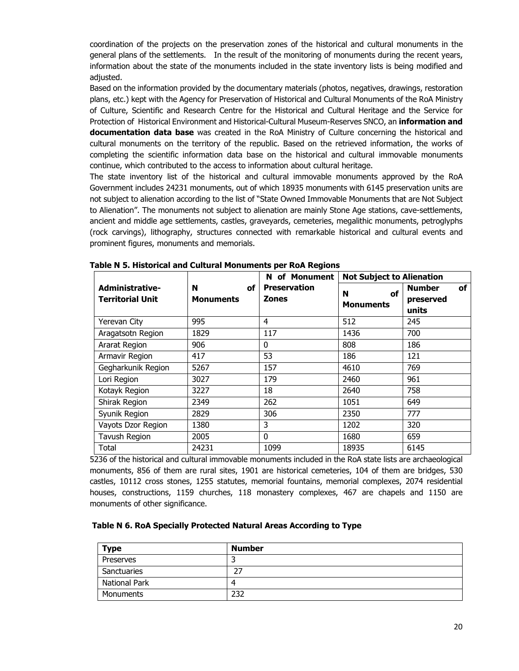coordination of the projects on the preservation zones of the historical and cultural monuments in the general plans of the settlements. In the result of the monitoring of monuments during the recent years, information about the state of the monuments included in the state inventory lists is being modified and adjusted.

Based on the information provided by the documentary materials (photos, negatives, drawings, restoration plans, etc.) kept with the Agency for Preservation of Historical and Cultural Monuments of the RoA Ministry of Culture, Scientific and Research Centre for the Historical and Cultural Heritage and the Service for Protection of Historical Environment and Historical-Cultural Museum-Reserves SNCO, an **information and documentation data base** was created in the RoA Ministry of Culture concerning the historical and cultural monuments on the territory of the republic. Based on the retrieved information, the works of completing the scientific information data base on the historical and cultural immovable monuments continue, which contributed to the access to information about cultural heritage.

The state inventory list of the historical and cultural immovable monuments approved by the RoA Government includes 24231 monuments, out of which 18935 monuments with 6145 preservation units are not subject to alienation according to the list of "State Owned Immovable Monuments that are Not Subject to Alienation". The monuments not subject to alienation are mainly Stone Age stations, cave-settlements, ancient and middle age settlements, castles, graveyards, cemeteries, megalithic monuments, petroglyphs (rock carvings), lithography, structures connected with remarkable historical and cultural events and prominent figures, monuments and memorials.

|                                            |                             | of Monument<br>N.                   | <b>Not Subject to Alienation</b>   |                                           |
|--------------------------------------------|-----------------------------|-------------------------------------|------------------------------------|-------------------------------------------|
| Administrative-<br><b>Territorial Unit</b> | N<br>of<br><b>Monuments</b> | <b>Preservation</b><br><b>Zones</b> | <b>of</b><br>N<br><b>Monuments</b> | <b>Number</b><br>οf<br>preserved<br>units |
| Yerevan City                               | 995                         | 4                                   | 512                                | 245                                       |
| Aragatsotn Region                          | 1829                        | 117                                 | 1436                               | 700                                       |
| Ararat Region                              | 906                         | 0                                   | 808                                | 186                                       |
| Armavir Region                             | 417                         | 53                                  | 186                                | 121                                       |
| Gegharkunik Region                         | 5267                        | 157                                 | 4610                               | 769                                       |
| Lori Region                                | 3027                        | 179                                 | 2460                               | 961                                       |
| Kotayk Region                              | 3227                        | 18                                  | 2640                               | 758                                       |
| Shirak Region                              | 2349                        | 262                                 | 1051                               | 649                                       |
| Syunik Region                              | 2829                        | 306                                 | 2350                               | 777                                       |
| Vayots Dzor Region                         | 1380                        | 3                                   | 1202                               | 320                                       |
| Tavush Region                              | 2005                        | $\mathbf{0}$                        | 1680                               | 659                                       |
| Total                                      | 24231                       | 1099                                | 18935                              | 6145                                      |

| Table N 5. Historical and Cultural Monuments per RoA Regions |  |  |
|--------------------------------------------------------------|--|--|
|--------------------------------------------------------------|--|--|

5236 of the historical and cultural immovable monuments included in the RoA state lists are archaeological monuments, 856 of them are rural sites, 1901 are historical cemeteries, 104 of them are bridges, 530 castles, 10112 cross stones, 1255 statutes, memorial fountains, memorial complexes, 2074 residential houses, constructions, 1159 churches, 118 monastery complexes, 467 are chapels and 1150 are monuments of other significance.

#### **Table N 6. RoA Specially Protected Natural Areas According to Type**

| Type          | <b>Number</b> |
|---------------|---------------|
| Preserves     |               |
| Sanctuaries   | דר<br>، ے     |
| National Park |               |
| Monuments     | 232           |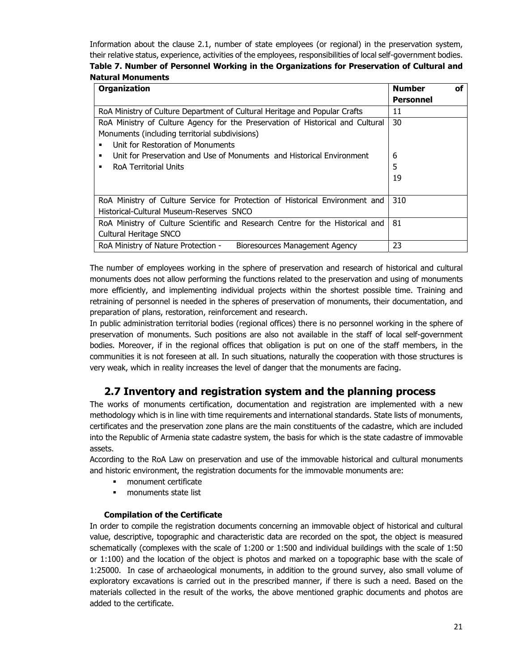Information about the clause 2.1, number of state employees (or regional) in the preservation system, their relative status, experience, activities of the employees, responsibilities of local self-government bodies.

| Table 7. Number of Personnel Working in the Organizations for Preservation of Cultural and |  |  |
|--------------------------------------------------------------------------------------------|--|--|
| <b>Natural Monuments</b>                                                                   |  |  |

| <b>Organization</b>                                                            | <b>Number</b>    | οf |
|--------------------------------------------------------------------------------|------------------|----|
|                                                                                | <b>Personnel</b> |    |
| RoA Ministry of Culture Department of Cultural Heritage and Popular Crafts     | 11               |    |
| RoA Ministry of Culture Agency for the Preservation of Historical and Cultural | 30               |    |
| Monuments (including territorial subdivisions)                                 |                  |    |
| Unit for Restoration of Monuments<br>п                                         |                  |    |
| Unit for Preservation and Use of Monuments and Historical Environment<br>٠     | 6                |    |
| RoA Territorial Units<br>п                                                     | 5                |    |
|                                                                                | 19               |    |
|                                                                                |                  |    |
| RoA Ministry of Culture Service for Protection of Historical Environment and   | 310              |    |
| Historical-Cultural Museum-Reserves SNCO                                       |                  |    |
| RoA Ministry of Culture Scientific and Research Centre for the Historical and  | 81               |    |
| Cultural Heritage SNCO                                                         |                  |    |
| RoA Ministry of Nature Protection -<br>Bioresources Management Agency          | 23               |    |

The number of employees working in the sphere of preservation and research of historical and cultural monuments does not allow performing the functions related to the preservation and using of monuments more efficiently, and implementing individual projects within the shortest possible time. Training and retraining of personnel is needed in the spheres of preservation of monuments, their documentation, and preparation of plans, restoration, reinforcement and research.

In public administration territorial bodies (regional offices) there is no personnel working in the sphere of preservation of monuments. Such positions are also not available in the staff of local self-government bodies. Moreover, if in the regional offices that obligation is put on one of the staff members, in the communities it is not foreseen at all. In such situations, naturally the cooperation with those structures is very weak, which in reality increases the level of danger that the monuments are facing.

# **2.7 Inventory and registration system and the planning process**

The works of monuments certification, documentation and registration are implemented with a new methodology which is in line with time requirements and international standards. State lists of monuments, certificates and the preservation zone plans are the main constituents of the cadastre, which are included into the Republic of Armenia state cadastre system, the basis for which is the state cadastre of immovable assets.

According to the RoA Law on preservation and use of the immovable historical and cultural monuments and historic environment, the registration documents for the immovable monuments are:

- **monument certificate**
- **n** monuments state list

### **Compilation of the Certificate**

In order to compile the registration documents concerning an immovable object of historical and cultural value, descriptive, topographic and characteristic data are recorded on the spot, the object is measured schematically (complexes with the scale of 1:200 or 1:500 and individual buildings with the scale of 1:50 or 1:100) and the location of the object is photos and marked on a topographic base with the scale of 1:25000. In case of archaeological monuments, in addition to the ground survey, also small volume of exploratory excavations is carried out in the prescribed manner, if there is such a need. Based on the materials collected in the result of the works, the above mentioned graphic documents and photos are added to the certificate.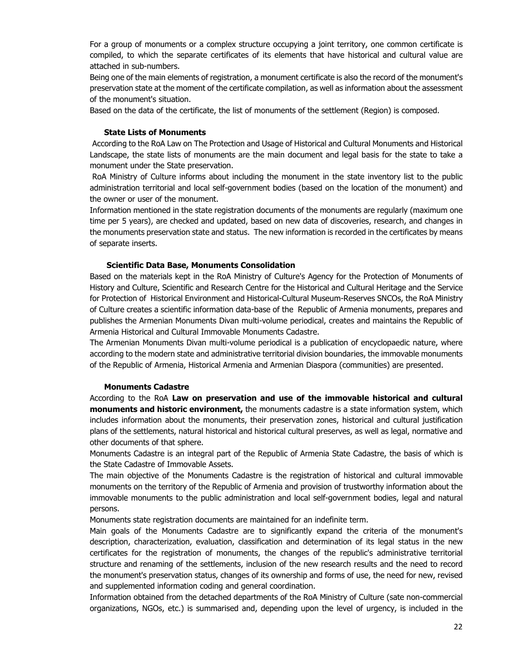For a group of monuments or a complex structure occupying a joint territory, one common certificate is compiled, to which the separate certificates of its elements that have historical and cultural value are attached in sub-numbers.

Being one of the main elements of registration, a monument certificate is also the record of the monument's preservation state at the moment of the certificate compilation, as well as information about the assessment of the monument's situation.

Based on the data of the certificate, the list of monuments of the settlement (Region) is composed.

#### **State Lists of Monuments**

 According to the RoA Law on The Protection and Usage of Historical and Cultural Monuments and Historical Landscape, the state lists of monuments are the main document and legal basis for the state to take a monument under the State preservation.

 RoA Ministry of Culture informs about including the monument in the state inventory list to the public administration territorial and local self-government bodies (based on the location of the monument) and the owner or user of the monument.

Information mentioned in the state registration documents of the monuments are regularly (maximum one time per 5 years), are checked and updated, based on new data of discoveries, research, and changes in the monuments preservation state and status. The new information is recorded in the certificates by means of separate inserts.

#### **Scientific Data Base, Monuments Consolidation**

Based on the materials kept in the RoA Ministry of Culture's Agency for the Protection of Monuments of History and Culture, Scientific and Research Centre for the Historical and Cultural Heritage and the Service for Protection of Historical Environment and Historical-Cultural Museum-Reserves SNCOs, the RoA Ministry of Culture creates a scientific information data-base of the Republic of Armenia monuments, prepares and publishes the Armenian Monuments Divan multi-volume periodical, creates and maintains the Republic of Armenia Historical and Cultural Immovable Monuments Cadastre.

The Armenian Monuments Divan multi-volume periodical is a publication of encyclopaedic nature, where according to the modern state and administrative territorial division boundaries, the immovable monuments of the Republic of Armenia, Historical Armenia and Armenian Diaspora (communities) are presented.

#### **Monuments Cadastre**

According to the RoA **Law on preservation and use of the immovable historical and cultural monuments and historic environment,** the monuments cadastre is a state information system, which includes information about the monuments, their preservation zones, historical and cultural justification plans of the settlements, natural historical and historical cultural preserves, as well as legal, normative and other documents of that sphere.

Monuments Cadastre is an integral part of the Republic of Armenia State Cadastre, the basis of which is the State Cadastre of Immovable Assets.

The main objective of the Monuments Cadastre is the registration of historical and cultural immovable monuments on the territory of the Republic of Armenia and provision of trustworthy information about the immovable monuments to the public administration and local self-government bodies, legal and natural persons.

Monuments state registration documents are maintained for an indefinite term.

Main goals of the Monuments Cadastre are to significantly expand the criteria of the monument's description, characterization, evaluation, classification and determination of its legal status in the new certificates for the registration of monuments, the changes of the republic's administrative territorial structure and renaming of the settlements, inclusion of the new research results and the need to record the monument's preservation status, changes of its ownership and forms of use, the need for new, revised and supplemented information coding and general coordination.

Information obtained from the detached departments of the RoA Ministry of Culture (sate non-commercial organizations, NGOs, etc.) is summarised and, depending upon the level of urgency, is included in the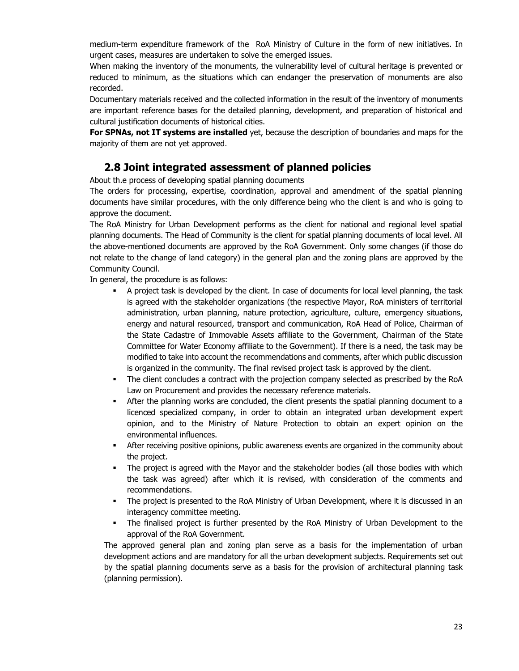medium-term expenditure framework of the RoA Ministry of Culture in the form of new initiatives. In urgent cases, measures are undertaken to solve the emerged issues.

When making the inventory of the monuments, the vulnerability level of cultural heritage is prevented or reduced to minimum, as the situations which can endanger the preservation of monuments are also recorded.

Documentary materials received and the collected information in the result of the inventory of monuments are important reference bases for the detailed planning, development, and preparation of historical and cultural justification documents of historical cities.

**For SPNAs, not IT systems are installed** yet, because the description of boundaries and maps for the majority of them are not yet approved.

# **2.8 Joint integrated assessment of planned policies**

About th.e process of developing spatial planning documents

The orders for processing, expertise, coordination, approval and amendment of the spatial planning documents have similar procedures, with the only difference being who the client is and who is going to approve the document.

The RoA Ministry for Urban Development performs as the client for national and regional level spatial planning documents. The Head of Community is the client for spatial planning documents of local level. All the above-mentioned documents are approved by the RoA Government. Only some changes (if those do not relate to the change of land category) in the general plan and the zoning plans are approved by the Community Council.

In general, the procedure is as follows:

- A project task is developed by the client. In case of documents for local level planning, the task is agreed with the stakeholder organizations (the respective Mayor, RoA ministers of territorial administration, urban planning, nature protection, agriculture, culture, emergency situations, energy and natural resourced, transport and communication, RoA Head of Police, Chairman of the State Cadastre of Immovable Assets affiliate to the Government, Chairman of the State Committee for Water Economy affiliate to the Government). If there is a need, the task may be modified to take into account the recommendations and comments, after which public discussion is organized in the community. The final revised project task is approved by the client.
- The client concludes a contract with the projection company selected as prescribed by the RoA Law on Procurement and provides the necessary reference materials.
- After the planning works are concluded, the client presents the spatial planning document to a licenced specialized company, in order to obtain an integrated urban development expert opinion, and to the Ministry of Nature Protection to obtain an expert opinion on the environmental influences.
- After receiving positive opinions, public awareness events are organized in the community about the project.
- The project is agreed with the Mayor and the stakeholder bodies (all those bodies with which the task was agreed) after which it is revised, with consideration of the comments and recommendations.
- The project is presented to the RoA Ministry of Urban Development, where it is discussed in an interagency committee meeting.
- The finalised project is further presented by the RoA Ministry of Urban Development to the approval of the RoA Government.

The approved general plan and zoning plan serve as a basis for the implementation of urban development actions and are mandatory for all the urban development subjects. Requirements set out by the spatial planning documents serve as a basis for the provision of architectural planning task (planning permission).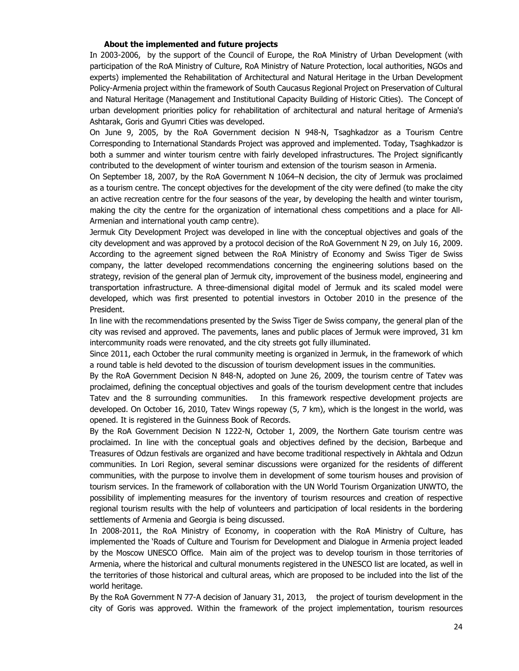#### **About the implemented and future projects**

In 2003-2006, by the support of the Council of Europe, the RoA Ministry of Urban Development (with participation of the RoA Ministry of Culture, RoA Ministry of Nature Protection, local authorities, NGOs and experts) implemented the Rehabilitation of Architectural and Natural Heritage in the Urban Development Policy-Armenia project within the framework of South Caucasus Regional Project on Preservation of Cultural and Natural Heritage (Management and Institutional Capacity Building of Historic Cities). The Concept of urban development priorities policy for rehabilitation of architectural and natural heritage of Armenia's Ashtarak, Goris and Gyumri Cities was developed.

On June 9, 2005, by the RoA Government decision N 948-N, Tsaghkadzor as a Tourism Centre Corresponding to International Standards Project was approved and implemented. Today, Tsaghkadzor is both a summer and winter tourism centre with fairly developed infrastructures. The Project significantly contributed to the development of winter tourism and extension of the tourism season in Armenia.

On September 18, 2007, by the RoA Government N 1064–N decision, the city of Jermuk was proclaimed as a tourism centre. The concept objectives for the development of the city were defined (to make the city an active recreation centre for the four seasons of the year, by developing the health and winter tourism, making the city the centre for the organization of international chess competitions and a place for All-Armenian and international youth camp centre).

Jermuk City Development Project was developed in line with the conceptual objectives and goals of the city development and was approved by a protocol decision of the RoA Government N 29, on July 16, 2009. According to the agreement signed between the RoA Ministry of Economy and Swiss Tiger de Swiss company, the latter developed recommendations concerning the engineering solutions based on the strategy, revision of the general plan of Jermuk city, improvement of the business model, engineering and transportation infrastructure. A three-dimensional digital model of Jermuk and its scaled model were developed, which was first presented to potential investors in October 2010 in the presence of the President.

In line with the recommendations presented by the Swiss Tiger de Swiss company, the general plan of the city was revised and approved. The pavements, lanes and public places of Jermuk were improved, 31 km intercommunity roads were renovated, and the city streets got fully illuminated.

Since 2011, each October the rural community meeting is organized in Jermuk, in the framework of which a round table is held devoted to the discussion of tourism development issues in the communities.

By the RoA Government Decision N 848-N, adopted on June 26, 2009, the tourism centre of Tatev was proclaimed, defining the conceptual objectives and goals of the tourism development centre that includes Tatev and the 8 surrounding communities. In this framework respective development projects are developed. On October 16, 2010, Tatev Wings ropeway (5, 7 km), which is the longest in the world, was opened. It is registered in the Guinness Book of Records.

By the RoA Government Decision N 1222-N, October 1, 2009, the Northern Gate tourism centre was proclaimed. In line with the conceptual goals and objectives defined by the decision, Barbeque and Treasures of Odzun festivals are organized and have become traditional respectively in Akhtala and Odzun communities. In Lori Region, several seminar discussions were organized for the residents of different communities, with the purpose to involve them in development of some tourism houses and provision of tourism services. In the framework of collaboration with the UN World Tourism Organization UNWTO, the possibility of implementing measures for the inventory of tourism resources and creation of respective regional tourism results with the help of volunteers and participation of local residents in the bordering settlements of Armenia and Georgia is being discussed.

In 2008-2011, the RoA Ministry of Economy, in cooperation with the RoA Ministry of Culture, has implemented the 'Roads of Culture and Tourism for Development and Dialogue in Armenia project leaded by the Moscow UNESCO Office. Main aim of the project was to develop tourism in those territories of Armenia, where the historical and cultural monuments registered in the UNESCO list are located, as well in the territories of those historical and cultural areas, which are proposed to be included into the list of the world heritage.

By the RoA Government N 77-A decision of January 31, 2013, the project of tourism development in the city of Goris was approved. Within the framework of the project implementation, tourism resources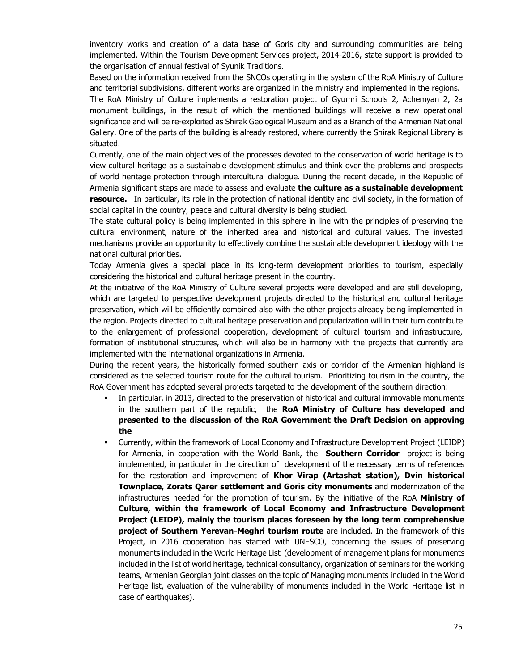inventory works and creation of a data base of Goris city and surrounding communities are being implemented. Within the Tourism Development Services project, 2014-2016, state support is provided to the organisation of annual festival of Syunik Traditions.

Based on the information received from the SNCOs operating in the system of the RoA Ministry of Culture and territorial subdivisions, different works are organized in the ministry and implemented in the regions.

The RoA Ministry of Culture implements a restoration project of Gyumri Schools 2, Achemyan 2, 2a monument buildings, in the result of which the mentioned buildings will receive a new operational significance and will be re-exploited as Shirak Geological Museum and as a Branch of the Armenian National Gallery. One of the parts of the building is already restored, where currently the Shirak Regional Library is situated.

Currently, one of the main objectives of the processes devoted to the conservation of world heritage is to view cultural heritage as a sustainable development stimulus and think over the problems and prospects of world heritage protection through intercultural dialogue. During the recent decade, in the Republic of Armenia significant steps are made to assess and evaluate **the culture as a sustainable development resource.** In particular, its role in the protection of national identity and civil society, in the formation of social capital in the country, peace and cultural diversity is being studied.

The state cultural policy is being implemented in this sphere in line with the principles of preserving the cultural environment, nature of the inherited area and historical and cultural values. The invested mechanisms provide an opportunity to effectively combine the sustainable development ideology with the national cultural priorities.

Today Armenia gives a special place in its long-term development priorities to tourism, especially considering the historical and cultural heritage present in the country.

At the initiative of the RoA Ministry of Culture several projects were developed and are still developing, which are targeted to perspective development projects directed to the historical and cultural heritage preservation, which will be efficiently combined also with the other projects already being implemented in the region. Projects directed to cultural heritage preservation and popularization will in their turn contribute to the enlargement of professional cooperation, development of cultural tourism and infrastructure, formation of institutional structures, which will also be in harmony with the projects that currently are implemented with the international organizations in Armenia.

During the recent years, the historically formed southern axis or corridor of the Armenian highland is considered as the selected tourism route for the cultural tourism. Prioritizing tourism in the country, the RoA Government has adopted several projects targeted to the development of the southern direction:

- In particular, in 2013, directed to the preservation of historical and cultural immovable monuments in the southern part of the republic, the **RoA Ministry of Culture has developed and presented to the discussion of the RoA Government the Draft Decision on approving the**
- Currently, within the framework of Local Economy and Infrastructure Development Project (LEIDP) for Armenia, in cooperation with the World Bank, the **Southern Corridor** project is being implemented, in particular in the direction of development of the necessary terms of references for the restoration and improvement of **Khor Virap (Artashat station), Dvin historical Townplace, Zorats Qarer settlement and Goris city monuments** and modernization of the infrastructures needed for the promotion of tourism. By the initiative of the RoA **Ministry of Culture, within the framework of Local Economy and Infrastructure Development Project (LEIDP), mainly the tourism places foreseen by the long term comprehensive project of Southern Yerevan-Meghri tourism route** are included. In the framework of this Project, in 2016 cooperation has started with UNESCO, concerning the issues of preserving monuments included in the World Heritage List (development of management plans for monuments included in the list of world heritage, technical consultancy, organization of seminars for the working teams, Armenian Georgian joint classes on the topic of Managing monuments included in the World Heritage list, evaluation of the vulnerability of monuments included in the World Heritage list in case of earthquakes).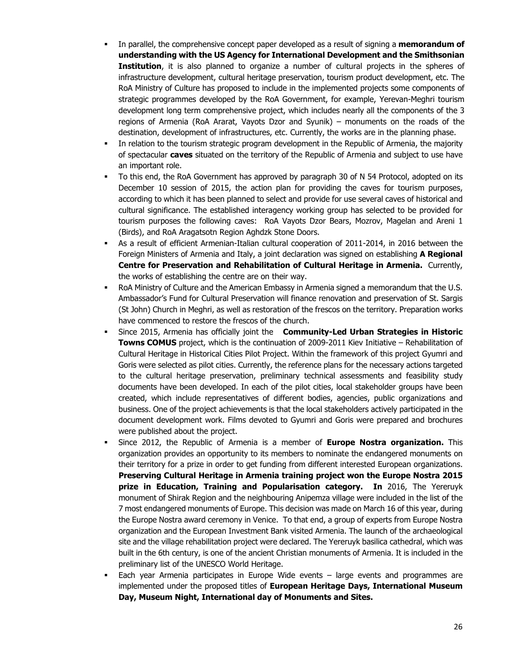- In parallel, the comprehensive concept paper developed as a result of signing a **memorandum of understanding with the US Agency for International Development and the Smithsonian Institution**, it is also planned to organize a number of cultural projects in the spheres of infrastructure development, cultural heritage preservation, tourism product development, etc. The RoA Ministry of Culture has proposed to include in the implemented projects some components of strategic programmes developed by the RoA Government, for example, Yerevan-Meghri tourism development long term comprehensive project, which includes nearly all the components of the 3 regions of Armenia (RoA Ararat, Vayots Dzor and Syunik) – monuments on the roads of the destination, development of infrastructures, etc. Currently, the works are in the planning phase.
- In relation to the tourism strategic program development in the Republic of Armenia, the majority of spectacular **caves** situated on the territory of the Republic of Armenia and subject to use have an important role.
- To this end, the RoA Government has approved by paragraph 30 of N 54 Protocol, adopted on its December 10 session of 2015, the action plan for providing the caves for tourism purposes, according to which it has been planned to select and provide for use several caves of historical and cultural significance. The established interagency working group has selected to be provided for tourism purposes the following caves: RoA Vayots Dzor Bears, Mozrov, Magelan and Areni 1 (Birds), and RoA Aragatsotn Region Aghdzk Stone Doors.
- As a result of efficient Armenian-Italian cultural cooperation of 2011-2014, in 2016 between the Foreign Ministers of Armenia and Italy, a joint declaration was signed on establishing **A Regional Centre for Preservation and Rehabilitation of Cultural Heritage in Armenia.** Currently, the works of establishing the centre are on their way.
- RoA Ministry of Culture and the American Embassy in Armenia signed a memorandum that the U.S. Ambassador's Fund for Cultural Preservation will finance renovation and preservation of St. Sargis (St John) Church in Meghri, as well as restoration of the frescos on the territory. Preparation works have commenced to restore the frescos of the church.
- Since 2015, Armenia has officially joint the **Community-Led Urban Strategies in Historic Towns COMUS** project, which is the continuation of 2009-2011 Kiev Initiative – Rehabilitation of Cultural Heritage in Historical Cities Pilot Project. Within the framework of this project Gyumri and Goris were selected as pilot cities. Currently, the reference plans for the necessary actions targeted to the cultural heritage preservation, preliminary technical assessments and feasibility study documents have been developed. In each of the pilot cities, local stakeholder groups have been created, which include representatives of different bodies, agencies, public organizations and business. One of the project achievements is that the local stakeholders actively participated in the document development work. Films devoted to Gyumri and Goris were prepared and brochures were published about the project.
- Since 2012, the Republic of Armenia is a member of **Europe Nostra organization.** This organization provides an opportunity to its members to nominate the endangered monuments on their territory for a prize in order to get funding from different interested European organizations. **Preserving Cultural Heritage in Armenia training project won the Europe Nostra 2015 prize in Education, Training and Popularisation category. In** 2016, The Yereruyk monument of Shirak Region and the neighbouring Anipemza village were included in the list of the 7 most endangered monuments of Europe. This decision was made on March 16 of this year, during the Europe Nostra award ceremony in Venice. To that end, a group of experts from Europe Nostra organization and the European Investment Bank visited Armenia. The launch of the archaeological site and the village rehabilitation project were declared. The Yereruyk basilica cathedral, which was built in the 6th century, is one of the ancient Christian monuments of Armenia. It is included in the preliminary list of the UNESCO World Heritage.
- Each year Armenia participates in Europe Wide events large events and programmes are implemented under the proposed titles of **European Heritage Days, International Museum Day, Museum Night, International day of Monuments and Sites.**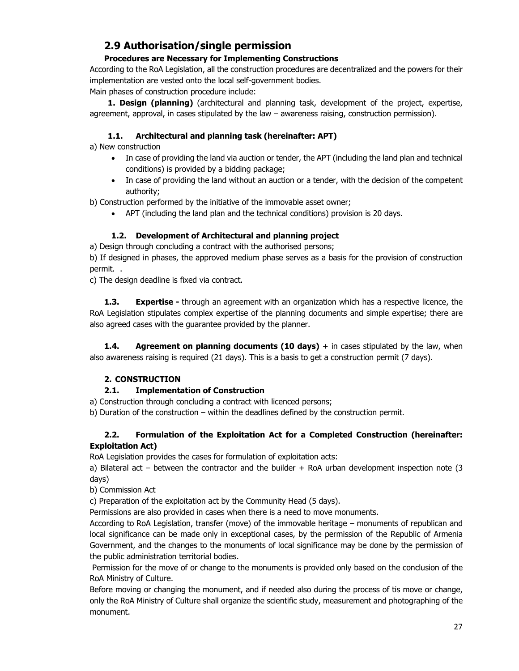# **2.9 Authorisation/single permission**

## **Procedures are Necessary for Implementing Constructions**

According to the RoA Legislation, all the construction procedures are decentralized and the powers for their implementation are vested onto the local self-government bodies.

Main phases of construction procedure include:

**1. Design (planning)** (architectural and planning task, development of the project, expertise, agreement, approval, in cases stipulated by the law – awareness raising, construction permission).

### **1.1. Architectural and planning task (hereinafter: APT)**

a) New construction

- In case of providing the land via auction or tender, the APT (including the land plan and technical conditions) is provided by a bidding package;
- In case of providing the land without an auction or a tender, with the decision of the competent authority;

b) Construction performed by the initiative of the immovable asset owner;

APT (including the land plan and the technical conditions) provision is 20 days.

### **1.2. Development of Architectural and planning project**

a) Design through concluding a contract with the authorised persons;

b) If designed in phases, the approved medium phase serves as a basis for the provision of construction permit. .

c) The design deadline is fixed via contract.

**1.3. Expertise -** through an agreement with an organization which has a respective licence, the RoA Legislation stipulates complex expertise of the planning documents and simple expertise; there are also agreed cases with the guarantee provided by the planner.

**1.4.** Agreement on planning documents (10 days) + in cases stipulated by the law, when also awareness raising is required (21 days). This is a basis to get a construction permit (7 days).

### **2. CONSTRUCTION**

### **2.1. Implementation of Construction**

a) Construction through concluding a contract with licenced persons;

b) Duration of the construction – within the deadlines defined by the construction permit.

### **2.2. Formulation of the Exploitation Act for a Completed Construction (hereinafter: Exploitation Act)**

RoA Legislation provides the cases for formulation of exploitation acts:

a) Bilateral act – between the contractor and the builder + RoA urban development inspection note (3 days)

b) Commission Act

c) Preparation of the exploitation act by the Community Head (5 days).

Permissions are also provided in cases when there is a need to move monuments.

According to RoA Legislation, transfer (move) of the immovable heritage – monuments of republican and local significance can be made only in exceptional cases, by the permission of the Republic of Armenia Government, and the changes to the monuments of local significance may be done by the permission of the public administration territorial bodies.

 Permission for the move of or change to the monuments is provided only based on the conclusion of the RoA Ministry of Culture.

Before moving or changing the monument, and if needed also during the process of tis move or change, only the RoA Ministry of Culture shall organize the scientific study, measurement and photographing of the monument.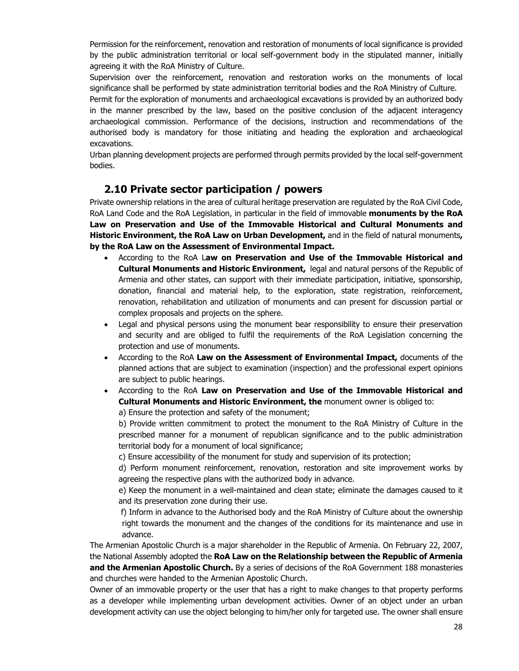Permission for the reinforcement, renovation and restoration of monuments of local significance is provided by the public administration territorial or local self-government body in the stipulated manner, initially agreeing it with the RoA Ministry of Culture.

Supervision over the reinforcement, renovation and restoration works on the monuments of local significance shall be performed by state administration territorial bodies and the RoA Ministry of Culture.

Permit for the exploration of monuments and archaeological excavations is provided by an authorized body in the manner prescribed by the law, based on the positive conclusion of the adjacent interagency archaeological commission. Performance of the decisions, instruction and recommendations of the authorised body is mandatory for those initiating and heading the exploration and archaeological excavations.

Urban planning development projects are performed through permits provided by the local self-government bodies.

# **2.10 Private sector participation / powers**

Private ownership relations in the area of cultural heritage preservation are regulated by the RoA Civil Code, RoA Land Code and the RoA Legislation, in particular in the field of immovable **monuments by the RoA Law on Preservation and Use of the Immovable Historical and Cultural Monuments and Historic Environment, the RoA Law on Urban Development,** and in the field of natural monuments**, by the RoA Law on the Assessment of Environmental Impact.** 

- According to the RoA L**aw on Preservation and Use of the Immovable Historical and Cultural Monuments and Historic Environment,** legal and natural persons of the Republic of Armenia and other states, can support with their immediate participation, initiative, sponsorship, donation, financial and material help, to the exploration, state registration, reinforcement, renovation, rehabilitation and utilization of monuments and can present for discussion partial or complex proposals and projects on the sphere.
- Legal and physical persons using the monument bear responsibility to ensure their preservation and security and are obliged to fulfil the requirements of the RoA Legislation concerning the protection and use of monuments.
- According to the RoA **Law on the Assessment of Environmental Impact,** documents of the planned actions that are subject to examination (inspection) and the professional expert opinions are subject to public hearings.
- According to the RoA **Law on Preservation and Use of the Immovable Historical and Cultural Monuments and Historic Environment, the** monument owner is obliged to:

a) Ensure the protection and safety of the monument;

 b) Provide written commitment to protect the monument to the RoA Ministry of Culture in the prescribed manner for a monument of republican significance and to the public administration territorial body for a monument of local significance;

c) Ensure accessibility of the monument for study and supervision of its protection;

 d) Perform monument reinforcement, renovation, restoration and site improvement works by agreeing the respective plans with the authorized body in advance.

 e) Keep the monument in a well-maintained and clean state; eliminate the damages caused to it and its preservation zone during their use.

 f) Inform in advance to the Authorised body and the RoA Ministry of Culture about the ownership right towards the monument and the changes of the conditions for its maintenance and use in advance.

The Armenian Apostolic Church is a major shareholder in the Republic of Armenia. On February 22, 2007, the National Assembly adopted the **RoA Law on the Relationship between the Republic of Armenia and the Armenian Apostolic Church.** By a series of decisions of the RoA Government 188 monasteries and churches were handed to the Armenian Apostolic Church.

Owner of an immovable property or the user that has a right to make changes to that property performs as a developer while implementing urban development activities. Owner of an object under an urban development activity can use the object belonging to him/her only for targeted use. The owner shall ensure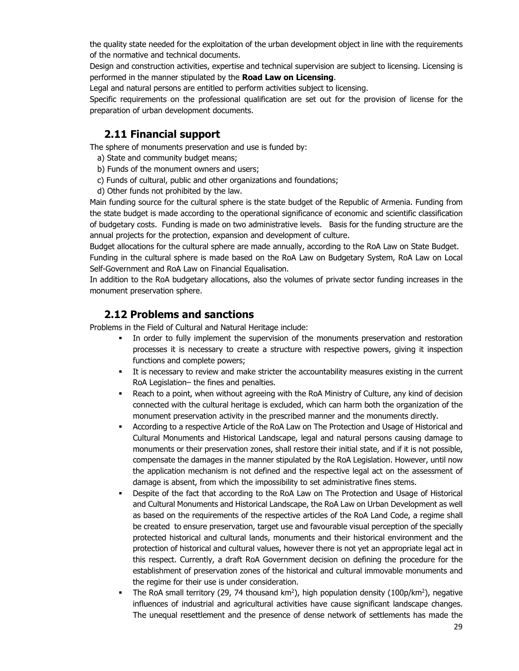the quality state needed for the exploitation of the urban development object in line with the requirements of the normative and technical documents.

Design and construction activities, expertise and technical supervision are subject to licensing. Licensing is performed in the manner stipulated by the **Road Law on Licensing**.

Legal and natural persons are entitled to perform activities subject to licensing.

Specific requirements on the professional qualification are set out for the provision of license for the preparation of urban development documents.

# **2.11 Financial support**

The sphere of monuments preservation and use is funded by:

- a) State and community budget means;
- b) Funds of the monument owners and users;
- c) Funds of cultural, public and other organizations and foundations;
- d) Other funds not prohibited by the law.

Main funding source for the cultural sphere is the state budget of the Republic of Armenia. Funding from the state budget is made according to the operational significance of economic and scientific classification of budgetary costs. Funding is made on two administrative levels. Basis for the funding structure are the annual projects for the protection, expansion and development of culture.

Budget allocations for the cultural sphere are made annually, according to the RoA Law on State Budget.

Funding in the cultural sphere is made based on the RoA Law on Budgetary System, RoA Law on Local Self-Government and RoA Law on Financial Equalisation.

In addition to the RoA budgetary allocations, also the volumes of private sector funding increases in the monument preservation sphere.

### **2.12 Problems and sanctions**

Problems in the Field of Cultural and Natural Heritage include:

- In order to fully implement the supervision of the monuments preservation and restoration processes it is necessary to create a structure with respective powers, giving it inspection functions and complete powers;
- It is necessary to review and make stricter the accountability measures existing in the current RoA Legislation– the fines and penalties.
- Reach to a point, when without agreeing with the RoA Ministry of Culture, any kind of decision connected with the cultural heritage is excluded, which can harm both the organization of the monument preservation activity in the prescribed manner and the monuments directly.
- According to a respective Article of the RoA Law on The Protection and Usage of Historical and Cultural Monuments and Historical Landscape, legal and natural persons causing damage to monuments or their preservation zones, shall restore their initial state, and if it is not possible, compensate the damages in the manner stipulated by the RoA Legislation. However, until now the application mechanism is not defined and the respective legal act on the assessment of damage is absent, from which the impossibility to set administrative fines stems.
- Despite of the fact that according to the RoA Law on The Protection and Usage of Historical and Cultural Monuments and Historical Landscape, the RoA Law on Urban Development as well as based on the requirements of the respective articles of the RoA Land Code, a regime shall be created to ensure preservation, target use and favourable visual perception of the specially protected historical and cultural lands, monuments and their historical environment and the protection of historical and cultural values, however there is not yet an appropriate legal act in this respect. Currently, a draft RoA Government decision on defining the procedure for the establishment of preservation zones of the historical and cultural immovable monuments and the regime for their use is under consideration.
- The RoA small territory (29, 74 thousand  $km^2$ ), high population density (100p/km<sup>2</sup>), negative influences of industrial and agricultural activities have cause significant landscape changes. The unequal resettlement and the presence of dense network of settlements has made the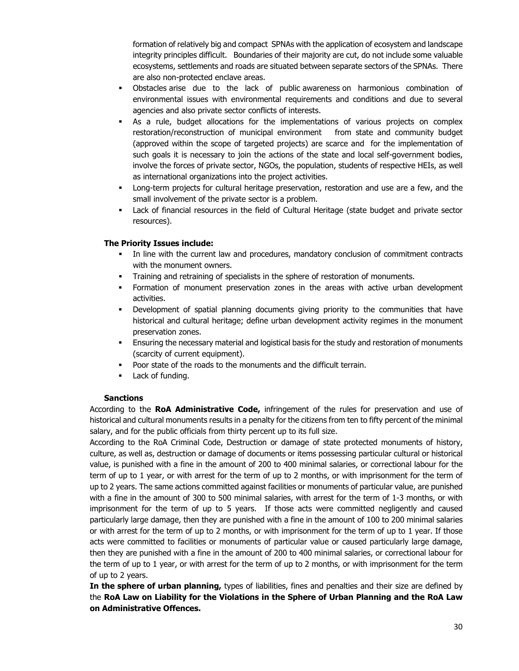formation of relatively big and compact SPNAs with the application of ecosystem and landscape integrity principles difficult. Boundaries of their majority are cut, do not include some valuable ecosystems, settlements and roads are situated between separate sectors of the SPNAs. There are also non-protected enclave areas.

- Obstacles arise due to the lack of public awareness on harmonious combination of environmental issues with environmental requirements and conditions and due to several agencies and also private sector conflicts of interests.
- As a rule, budget allocations for the implementations of various projects on complex restoration/reconstruction of municipal environment from state and community budget (approved within the scope of targeted projects) are scarce and for the implementation of such goals it is necessary to join the actions of the state and local self-government bodies, involve the forces of private sector, NGOs, the population, students of respective HEIs, as well as international organizations into the project activities.
- **-** Long-term projects for cultural heritage preservation, restoration and use are a few, and the small involvement of the private sector is a problem.
- Lack of financial resources in the field of Cultural Heritage (state budget and private sector resources).

### **The Priority Issues include:**

- In line with the current law and procedures, mandatory conclusion of commitment contracts with the monument owners.
- Training and retraining of specialists in the sphere of restoration of monuments.
- Formation of monument preservation zones in the areas with active urban development activities.
- Development of spatial planning documents giving priority to the communities that have historical and cultural heritage; define urban development activity regimes in the monument preservation zones.
- Ensuring the necessary material and logistical basis for the study and restoration of monuments (scarcity of current equipment).
- Poor state of the roads to the monuments and the difficult terrain.
- **Lack of funding.**

#### **Sanctions**

According to the **RoA Administrative Code,** infringement of the rules for preservation and use of historical and cultural monuments results in a penalty for the citizens from ten to fifty percent of the minimal salary, and for the public officials from thirty percent up to its full size.

According to the RoA Criminal Code, Destruction or damage of state protected monuments of history, culture, as well as, destruction or damage of documents or items possessing particular cultural or historical value, is punished with a fine in the amount of 200 to 400 minimal salaries, or correctional labour for the term of up to 1 year, or with arrest for the term of up to 2 months, or with imprisonment for the term of up to 2 years. The same actions committed against facilities or monuments of particular value, are punished with a fine in the amount of 300 to 500 minimal salaries, with arrest for the term of 1-3 months, or with imprisonment for the term of up to 5 years. If those acts were committed negligently and caused particularly large damage, then they are punished with a fine in the amount of 100 to 200 minimal salaries or with arrest for the term of up to 2 months, or with imprisonment for the term of up to 1 year. If those acts were committed to facilities or monuments of particular value or caused particularly large damage, then they are punished with a fine in the amount of 200 to 400 minimal salaries, or correctional labour for the term of up to 1 year, or with arrest for the term of up to 2 months, or with imprisonment for the term of up to 2 years.

**In the sphere of urban planning,** types of liabilities, fines and penalties and their size are defined by the **RoA Law on Liability for the Violations in the Sphere of Urban Planning and the RoA Law on Administrative Offences.**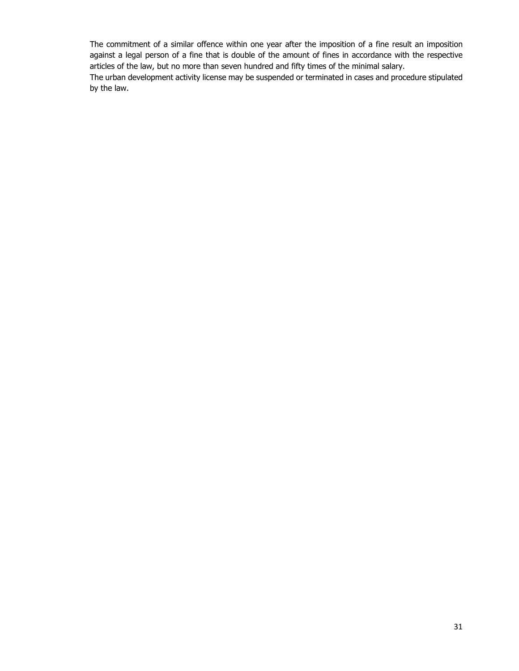The commitment of a similar offence within one year after the imposition of a fine result an imposition against a legal person of a fine that is double of the amount of fines in accordance with the respective articles of the law, but no more than seven hundred and fifty times of the minimal salary.

The urban development activity license may be suspended or terminated in cases and procedure stipulated by the law.